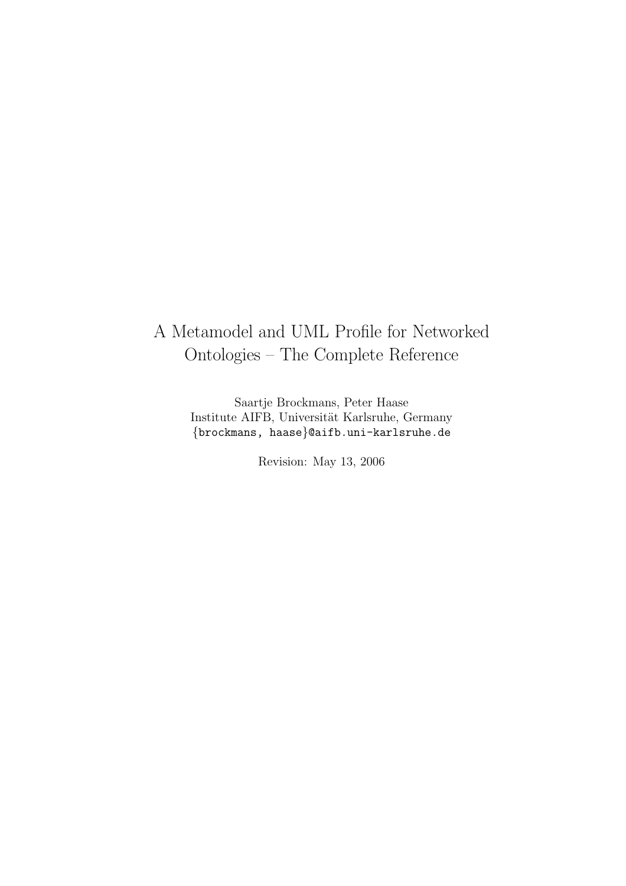# A Metamodel and UML Profile for Networked Ontologies – The Complete Reference

Saartje Brockmans, Peter Haase Institute AIFB, Universität Karlsruhe, Germany {brockmans, haase}@aifb.uni-karlsruhe.de

Revision: May 13, 2006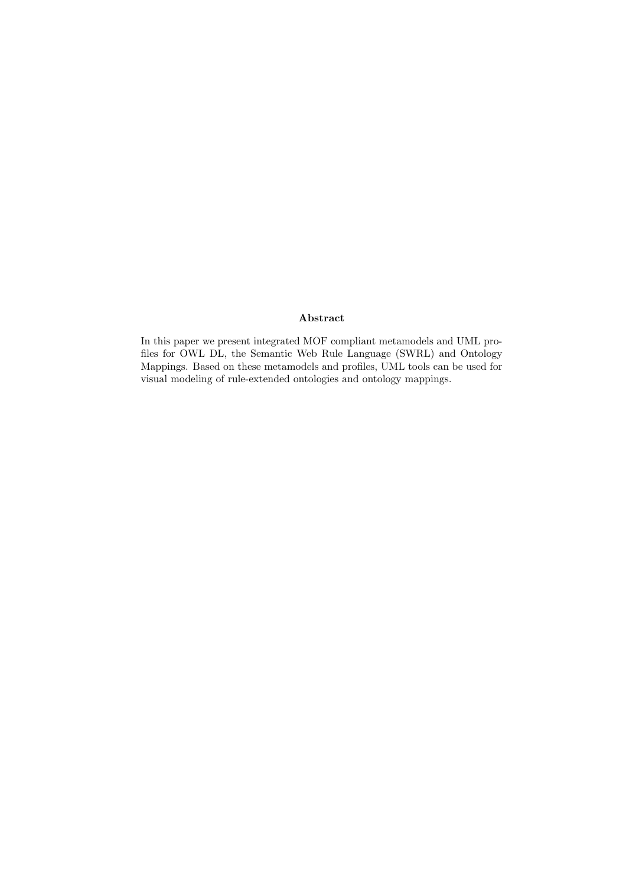### Abstract

In this paper we present integrated MOF compliant metamodels and UML profiles for OWL DL, the Semantic Web Rule Language (SWRL) and Ontology Mappings. Based on these metamodels and profiles, UML tools can be used for visual modeling of rule-extended ontologies and ontology mappings.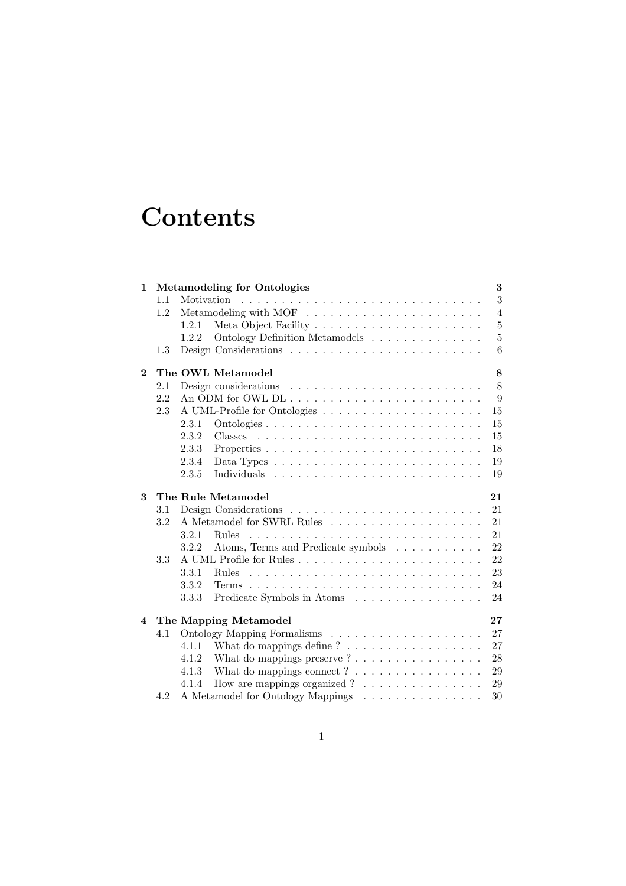# **Contents**

| $\mathbf{1}$   |         |            | <b>Metamodeling for Ontologies</b>                                                    | $\bf{3}$       |
|----------------|---------|------------|---------------------------------------------------------------------------------------|----------------|
|                | 1.1     | Motivation |                                                                                       | 3              |
|                | 1.2     |            |                                                                                       | $\overline{4}$ |
|                |         | 1.2.1      |                                                                                       | $\overline{5}$ |
|                |         | 1.2.2      | Ontology Definition Metamodels                                                        | $\overline{5}$ |
|                | 1.3     |            |                                                                                       | 6              |
| $\mathbf{2}$   |         |            | The OWL Metamodel                                                                     | 8              |
|                | 2.1     |            |                                                                                       | 8              |
|                | 2.2     |            |                                                                                       | 9              |
|                | 2.3     |            |                                                                                       | 15             |
|                |         | 2.3.1      |                                                                                       | 15             |
|                |         | 2.3.2      |                                                                                       | 15             |
|                |         | 2.3.3      |                                                                                       | 18             |
|                |         | 2.3.4      |                                                                                       | 19             |
|                |         | 2.3.5      |                                                                                       | 19             |
| 3              |         |            | The Rule Metamodel                                                                    | 21             |
|                | $3.1\,$ |            |                                                                                       | 21             |
|                | 3.2     |            |                                                                                       | 21             |
|                |         | 3.2.1      | Rules                                                                                 | 21             |
|                |         | 3.2.2      | Atoms, Terms and Predicate symbols $\hfill\ldots$ $\ldots$ $\ldots$ $\ldots$ $\ldots$ | 22             |
|                | 3.3     |            |                                                                                       | 22             |
|                |         | 3.3.1      | Rules                                                                                 | 23             |
|                |         | 3.3.2      |                                                                                       | 24             |
|                |         | 3.3.3      | Predicate Symbols in Atoms                                                            | 24             |
| $\overline{4}$ |         |            | The Mapping Metamodel                                                                 | $27\,$         |
|                | 4.1     |            |                                                                                       | 27             |
|                |         | 4.1.1      | What do mappings define $? \ldots \ldots \ldots \ldots \ldots$                        | 27             |
|                |         | 4.1.2      | What do mappings preserve $? \ldots \ldots \ldots \ldots \ldots$                      | 28             |
|                |         | 4.1.3      |                                                                                       | 29             |
|                |         | 4.1.4      | How are mappings organized ? $\ldots \ldots \ldots \ldots$                            | 29             |
|                | 4.2     |            | A Metamodel for Ontology Mappings                                                     | 30             |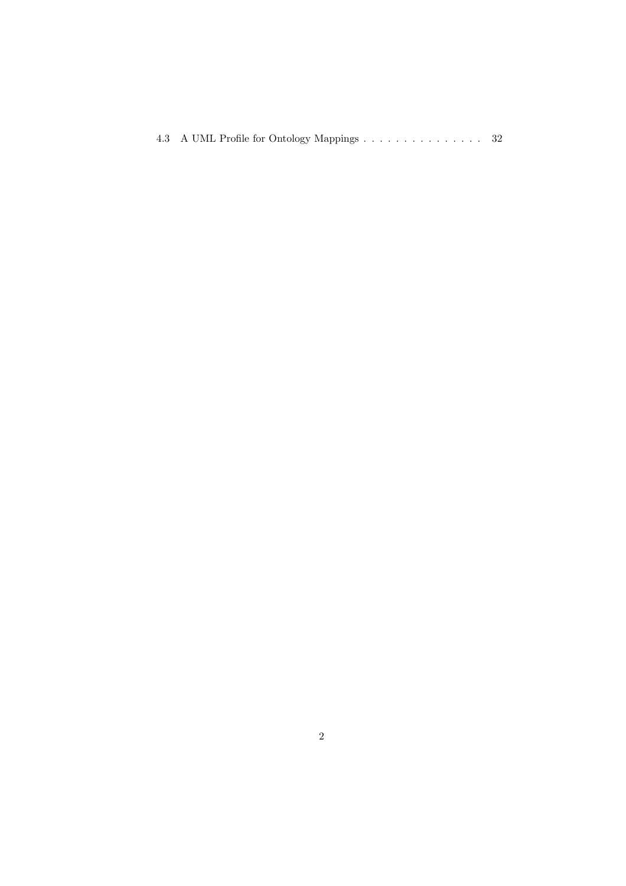| 4.3 A UML Profile for Ontology Mappings 32 |
|--------------------------------------------|
|--------------------------------------------|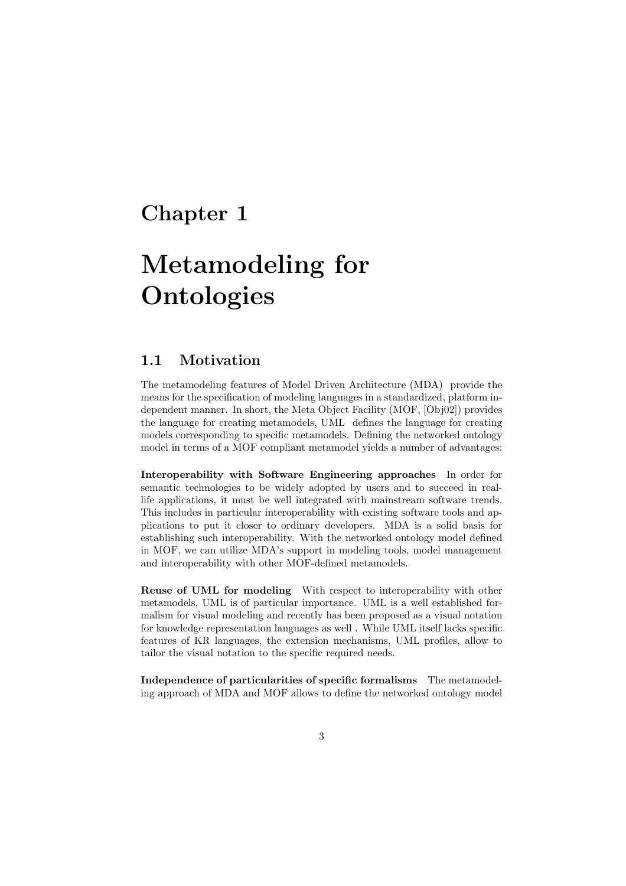# Chapter 1

# Metamodeling for **Ontologies**

## 1.1 Motivation

The metamodeling features of Model Driven Architecture (MDA) provide the means for the specification of modeling languages in a standardized, platform independent manner. In short, the Meta Object Facility (MOF, [Obj02]) provides the language for creating metamodels, UML defines the language for creating models corresponding to specific metamodels. Defining the networked ontology model in terms of a MOF compliant metamodel yields a number of advantages:

Interoperability with Software Engineering approaches In order for semantic technologies to be widely adopted by users and to succeed in reallife applications, it must be well integrated with mainstream software trends. This includes in particular interoperability with existing software tools and applications to put it closer to ordinary developers. MDA is a solid basis for establishing such interoperability. With the networked ontology model defined in MOF, we can utilize MDA's support in modeling tools, model management and interoperability with other MOF-defined metamodels.

Reuse of UML for modeling With respect to interoperability with other metamodels, UML is of particular importance. UML is a well established formalism for visual modeling and recently has been proposed as a visual notation for knowledge representation languages as well . While UML itself lacks specific features of KR languages, the extension mechanisms, UML profiles, allow to tailor the visual notation to the specific required needs.

Independence of particularities of specific formalisms The metamodeling approach of MDA and MOF allows to define the networked ontology model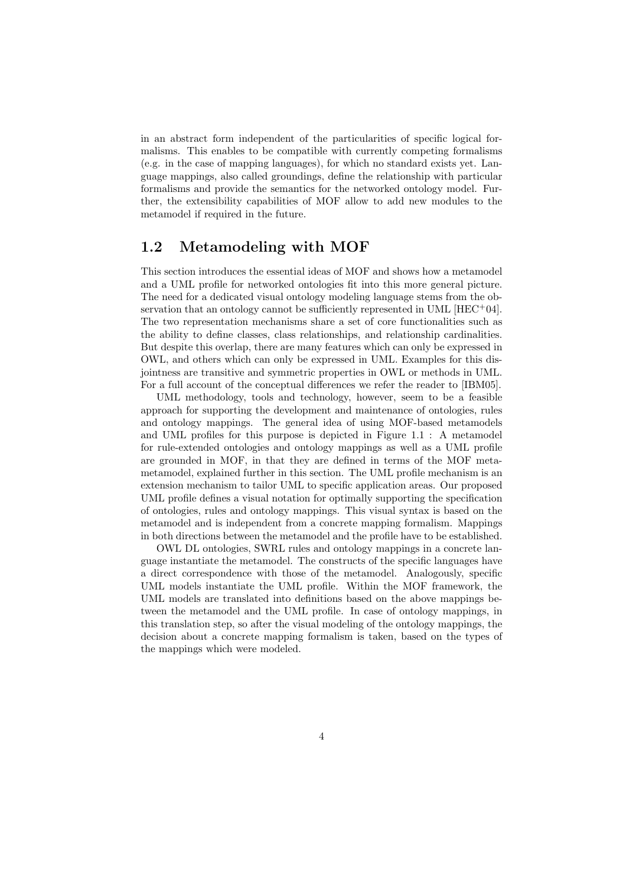in an abstract form independent of the particularities of specific logical formalisms. This enables to be compatible with currently competing formalisms (e.g. in the case of mapping languages), for which no standard exists yet. Language mappings, also called groundings, define the relationship with particular formalisms and provide the semantics for the networked ontology model. Further, the extensibility capabilities of MOF allow to add new modules to the metamodel if required in the future.

## 1.2 Metamodeling with MOF

This section introduces the essential ideas of MOF and shows how a metamodel and a UML profile for networked ontologies fit into this more general picture. The need for a dedicated visual ontology modeling language stems from the observation that an ontology cannot be sufficiently represented in UML  $[\text{HEC}^+04]$ . The two representation mechanisms share a set of core functionalities such as the ability to define classes, class relationships, and relationship cardinalities. But despite this overlap, there are many features which can only be expressed in OWL, and others which can only be expressed in UML. Examples for this disjointness are transitive and symmetric properties in OWL or methods in UML. For a full account of the conceptual differences we refer the reader to [IBM05].

UML methodology, tools and technology, however, seem to be a feasible approach for supporting the development and maintenance of ontologies, rules and ontology mappings. The general idea of using MOF-based metamodels and UML profiles for this purpose is depicted in Figure 1.1 : A metamodel for rule-extended ontologies and ontology mappings as well as a UML profile are grounded in MOF, in that they are defined in terms of the MOF metametamodel, explained further in this section. The UML profile mechanism is an extension mechanism to tailor UML to specific application areas. Our proposed UML profile defines a visual notation for optimally supporting the specification of ontologies, rules and ontology mappings. This visual syntax is based on the metamodel and is independent from a concrete mapping formalism. Mappings in both directions between the metamodel and the profile have to be established.

OWL DL ontologies, SWRL rules and ontology mappings in a concrete language instantiate the metamodel. The constructs of the specific languages have a direct correspondence with those of the metamodel. Analogously, specific UML models instantiate the UML profile. Within the MOF framework, the UML models are translated into definitions based on the above mappings between the metamodel and the UML profile. In case of ontology mappings, in this translation step, so after the visual modeling of the ontology mappings, the decision about a concrete mapping formalism is taken, based on the types of the mappings which were modeled.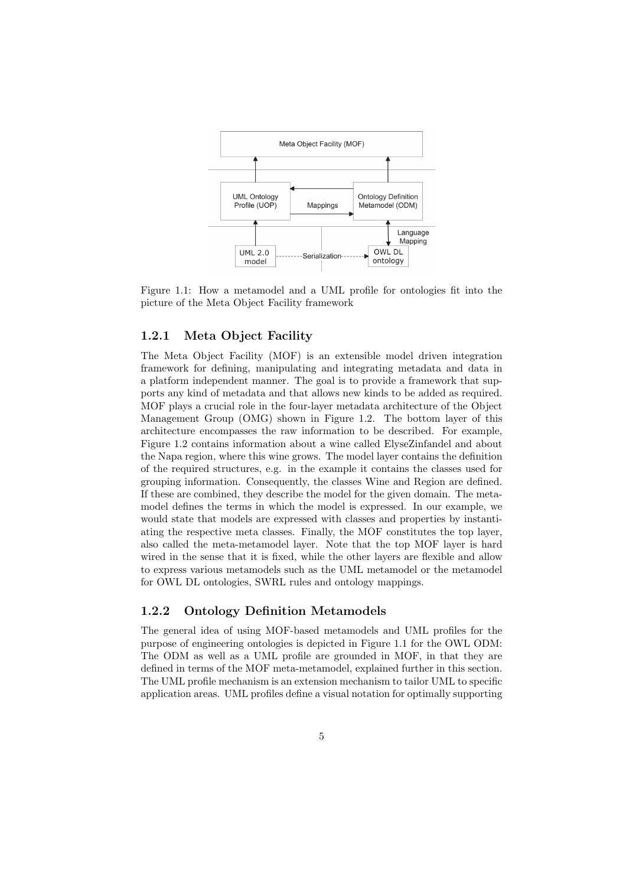

Figure 1.1: How a metamodel and a UML profile for ontologies fit into the picture of the Meta Object Facility framework

### 1.2.1 Meta Object Facility

The Meta Object Facility (MOF) is an extensible model driven integration framework for defining, manipulating and integrating metadata and data in a platform independent manner. The goal is to provide a framework that supports any kind of metadata and that allows new kinds to be added as required. MOF plays a crucial role in the four-layer metadata architecture of the Object Management Group (OMG) shown in Figure 1.2. The bottom layer of this architecture encompasses the raw information to be described. For example, Figure 1.2 contains information about a wine called ElyseZinfandel and about the Napa region, where this wine grows. The model layer contains the definition of the required structures, e.g. in the example it contains the classes used for grouping information. Consequently, the classes Wine and Region are defined. If these are combined, they describe the model for the given domain. The metamodel defines the terms in which the model is expressed. In our example, we would state that models are expressed with classes and properties by instantiating the respective meta classes. Finally, the MOF constitutes the top layer, also called the meta-metamodel layer. Note that the top MOF layer is hard wired in the sense that it is fixed, while the other layers are flexible and allow to express various metamodels such as the UML metamodel or the metamodel for OWL DL ontologies, SWRL rules and ontology mappings.

### 1.2.2 Ontology Definition Metamodels

The general idea of using MOF-based metamodels and UML profiles for the purpose of engineering ontologies is depicted in Figure 1.1 for the OWL ODM: The ODM as well as a UML profile are grounded in MOF, in that they are defined in terms of the MOF meta-metamodel, explained further in this section. The UML profile mechanism is an extension mechanism to tailor UML to specific application areas. UML profiles define a visual notation for optimally supporting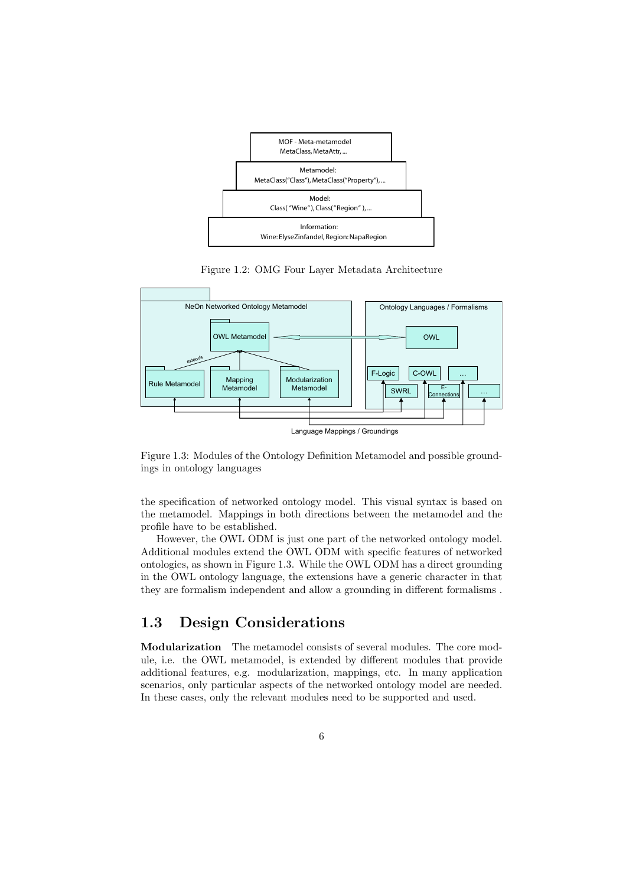





Figure 1.3: Modules of the Ontology Definition Metamodel and possible groundings in ontology languages

the specification of networked ontology model. This visual syntax is based on the metamodel. Mappings in both directions between the metamodel and the profile have to be established.

However, the OWL ODM is just one part of the networked ontology model. Additional modules extend the OWL ODM with specific features of networked ontologies, as shown in Figure 1.3. While the OWL ODM has a direct grounding in the OWL ontology language, the extensions have a generic character in that they are formalism independent and allow a grounding in different formalisms .

# 1.3 Design Considerations

Modularization The metamodel consists of several modules. The core module, i.e. the OWL metamodel, is extended by different modules that provide additional features, e.g. modularization, mappings, etc. In many application scenarios, only particular aspects of the networked ontology model are needed. In these cases, only the relevant modules need to be supported and used.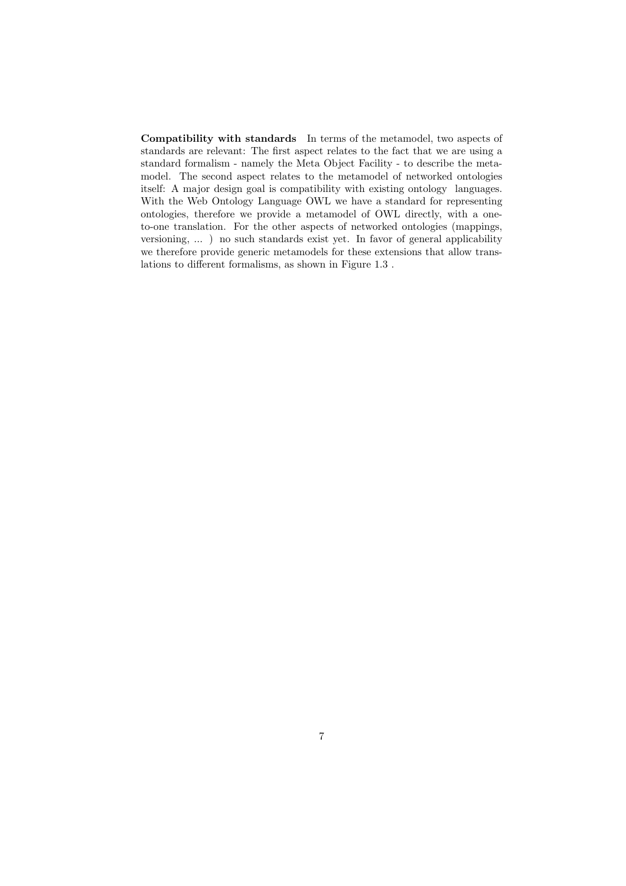Compatibility with standards In terms of the metamodel, two aspects of standards are relevant: The first aspect relates to the fact that we are using a standard formalism - namely the Meta Object Facility - to describe the metamodel. The second aspect relates to the metamodel of networked ontologies itself: A major design goal is compatibility with existing ontology languages. With the Web Ontology Language OWL we have a standard for representing ontologies, therefore we provide a metamodel of OWL directly, with a oneto-one translation. For the other aspects of networked ontologies (mappings, versioning, ... ) no such standards exist yet. In favor of general applicability we therefore provide generic metamodels for these extensions that allow translations to different formalisms, as shown in Figure 1.3 .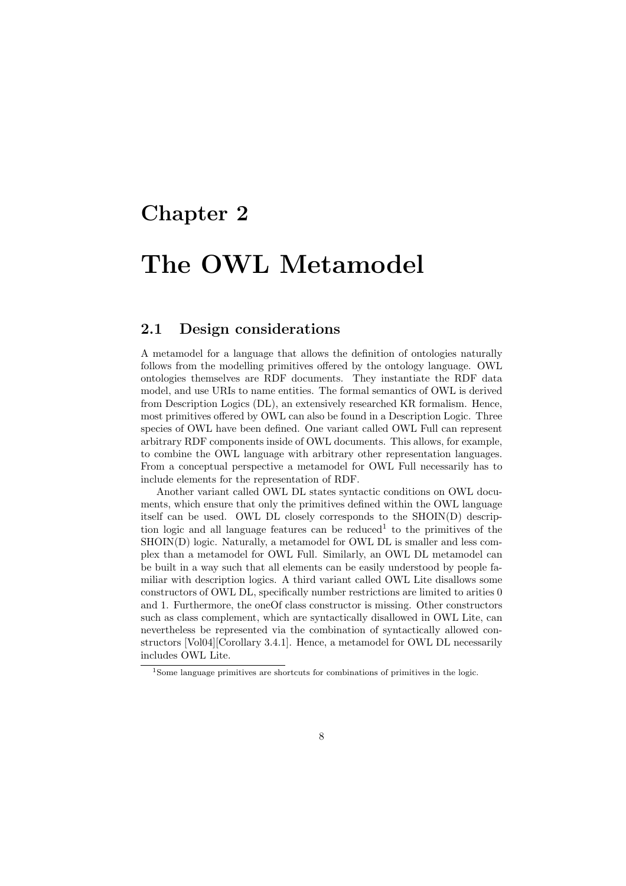# Chapter 2

# The OWL Metamodel

## 2.1 Design considerations

A metamodel for a language that allows the definition of ontologies naturally follows from the modelling primitives offered by the ontology language. OWL ontologies themselves are RDF documents. They instantiate the RDF data model, and use URIs to name entities. The formal semantics of OWL is derived from Description Logics (DL), an extensively researched KR formalism. Hence, most primitives offered by OWL can also be found in a Description Logic. Three species of OWL have been defined. One variant called OWL Full can represent arbitrary RDF components inside of OWL documents. This allows, for example, to combine the OWL language with arbitrary other representation languages. From a conceptual perspective a metamodel for OWL Full necessarily has to include elements for the representation of RDF.

Another variant called OWL DL states syntactic conditions on OWL documents, which ensure that only the primitives defined within the OWL language itself can be used. OWL DL closely corresponds to the SHOIN(D) description logic and all language features can be reduced<sup>1</sup> to the primitives of the SHOIN(D) logic. Naturally, a metamodel for OWL DL is smaller and less complex than a metamodel for OWL Full. Similarly, an OWL DL metamodel can be built in a way such that all elements can be easily understood by people familiar with description logics. A third variant called OWL Lite disallows some constructors of OWL DL, specifically number restrictions are limited to arities 0 and 1. Furthermore, the oneOf class constructor is missing. Other constructors such as class complement, which are syntactically disallowed in OWL Lite, can nevertheless be represented via the combination of syntactically allowed constructors [Vol04][Corollary 3.4.1]. Hence, a metamodel for OWL DL necessarily includes OWL Lite.

<sup>&</sup>lt;sup>1</sup>Some language primitives are shortcuts for combinations of primitives in the logic.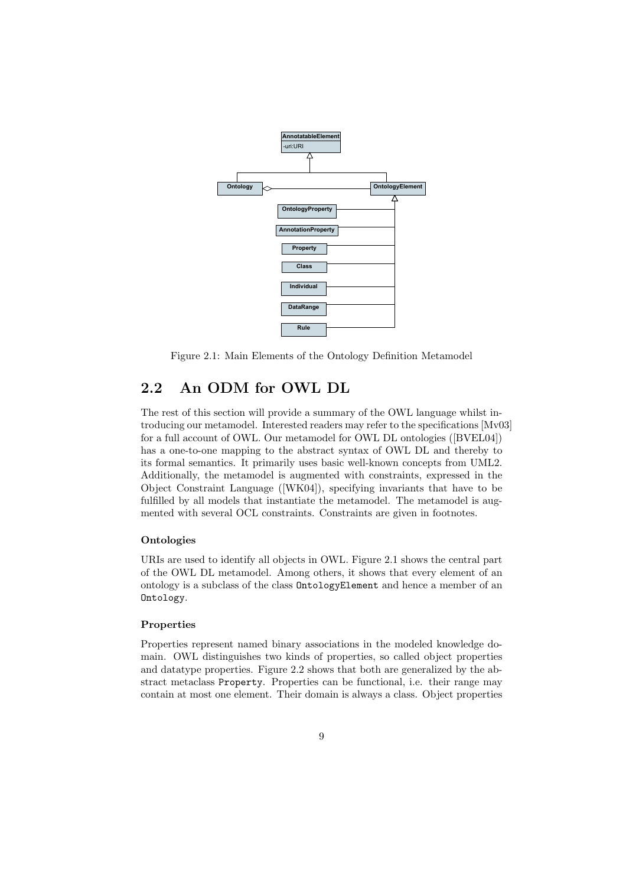

Figure 2.1: Main Elements of the Ontology Definition Metamodel

# 2.2 An ODM for OWL DL

The rest of this section will provide a summary of the OWL language whilst introducing our metamodel. Interested readers may refer to the specifications [Mv03] for a full account of OWL. Our metamodel for OWL DL ontologies ([BVEL04]) has a one-to-one mapping to the abstract syntax of OWL DL and thereby to its formal semantics. It primarily uses basic well-known concepts from UML2. Additionally, the metamodel is augmented with constraints, expressed in the Object Constraint Language ([WK04]), specifying invariants that have to be fulfilled by all models that instantiate the metamodel. The metamodel is augmented with several OCL constraints. Constraints are given in footnotes.

#### Ontologies

URIs are used to identify all objects in OWL. Figure 2.1 shows the central part of the OWL DL metamodel. Among others, it shows that every element of an ontology is a subclass of the class OntologyElement and hence a member of an Ontology.

#### Properties

Properties represent named binary associations in the modeled knowledge domain. OWL distinguishes two kinds of properties, so called object properties and datatype properties. Figure 2.2 shows that both are generalized by the abstract metaclass Property. Properties can be functional, i.e. their range may contain at most one element. Their domain is always a class. Object properties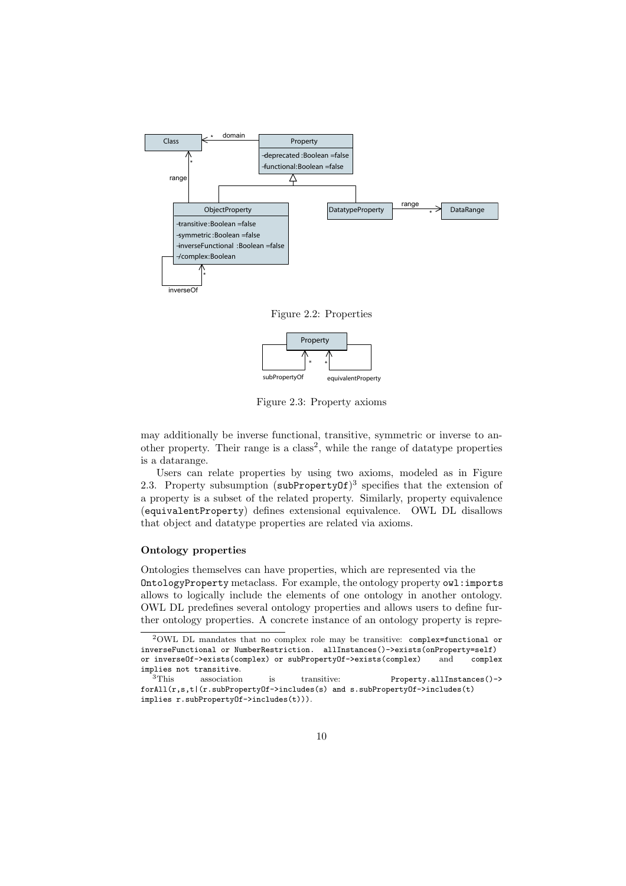

![](_page_11_Figure_2.jpeg)

Figure 2.3: Property axioms

may additionally be inverse functional, transitive, symmetric or inverse to another property. Their range is a class<sup>2</sup>, while the range of datatype properties is a datarange.

Users can relate properties by using two axioms, modeled as in Figure 2.3. Property subsumption (subPropertyOf)<sup>3</sup> specifies that the extension of a property is a subset of the related property. Similarly, property equivalence (equivalentProperty) defines extensional equivalence. OWL DL disallows that object and datatype properties are related via axioms.

### Ontology properties

Ontologies themselves can have properties, which are represented via the OntologyProperty metaclass. For example, the ontology property owl:imports allows to logically include the elements of one ontology in another ontology. OWL DL predefines several ontology properties and allows users to define further ontology properties. A concrete instance of an ontology property is repre-

<sup>2</sup>OWL DL mandates that no complex role may be transitive: complex=functional or inverseFunctional or NumberRestriction. allInstances()->exists(onProperty=self) or inverseOf->exists(complex) or subPropertyOf->exists(complex) and complex implies not transitive.

<sup>3</sup>This association is transitive: Property.allInstances()-> forAll(r,s,t|(r.subPropertyOf->includes(s) and s.subPropertyOf->includes(t) implies r.subPropertyOf->includes(t))).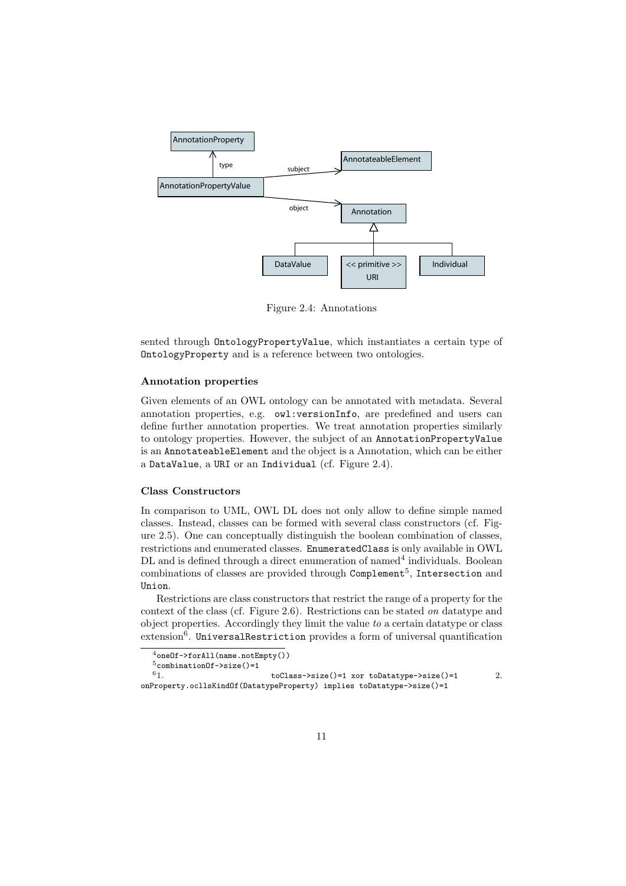![](_page_12_Figure_0.jpeg)

Figure 2.4: Annotations

sented through OntologyPropertyValue, which instantiates a certain type of OntologyProperty and is a reference between two ontologies.

### Annotation properties

Given elements of an OWL ontology can be annotated with metadata. Several annotation properties, e.g. owl:versionInfo, are predefined and users can define further annotation properties. We treat annotation properties similarly to ontology properties. However, the subject of an AnnotationPropertyValue is an AnnotateableElement and the object is a Annotation, which can be either a DataValue, a URI or an Individual (cf. Figure 2.4).

### Class Constructors

In comparison to UML, OWL DL does not only allow to define simple named classes. Instead, classes can be formed with several class constructors (cf. Figure 2.5). One can conceptually distinguish the boolean combination of classes, restrictions and enumerated classes. EnumeratedClass is only available in OWL DL and is defined through a direct enumeration of named<sup>4</sup> individuals. Boolean combinations of classes are provided through  $\texttt{Complement}^5$ , Intersection and Union.

Restrictions are class constructors that restrict the range of a property for the context of the class (cf. Figure 2.6). Restrictions can be stated on datatype and object properties. Accordingly they limit the value to a certain datatype or class  $\rm{extension}^6$ . UniversalRestriction provides a form of universal quantification

 $toClass-}\size() = 1 \nvert x \nvert toDatatype-}\size() = 1$  2. onProperty.ocllsKindOf(DatatypeProperty) implies toDatatype->size()=1

 $4$ oneOf->forAll(name.notEmpty())

 $5$ combinationOf->size()=1<br>61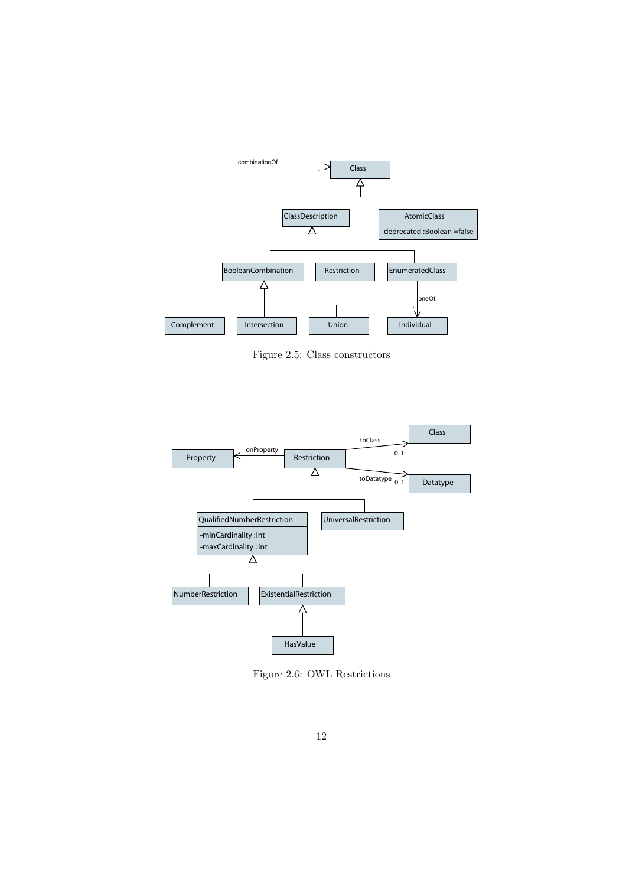![](_page_13_Figure_0.jpeg)

Figure 2.5: Class constructors

![](_page_13_Figure_2.jpeg)

Figure 2.6: OWL Restrictions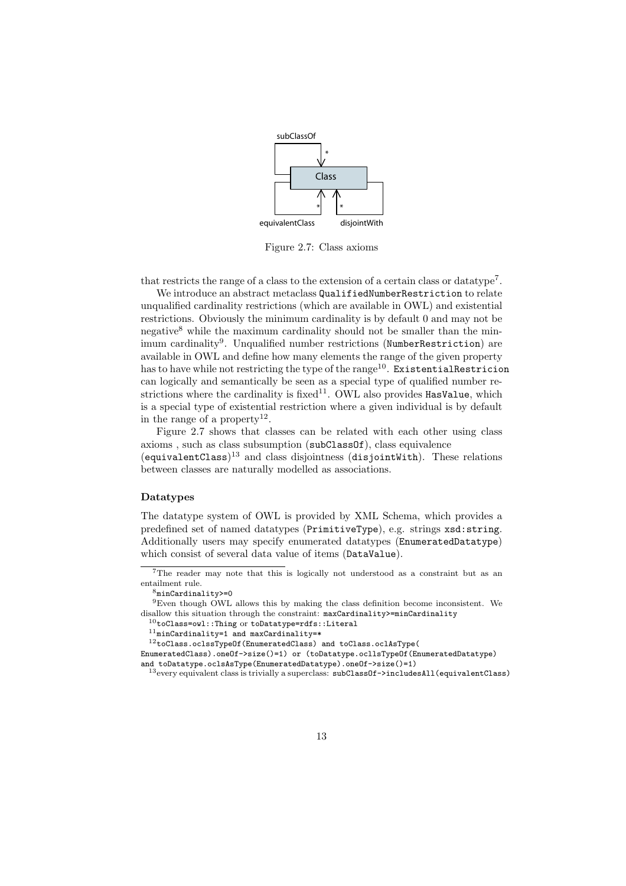![](_page_14_Figure_0.jpeg)

Figure 2.7: Class axioms

that restricts the range of a class to the extension of a certain class or datatype<sup>7</sup>.

We introduce an abstract metaclass QualifiedNumberRestriction to relate unqualified cardinality restrictions (which are available in OWL) and existential restrictions. Obviously the minimum cardinality is by default 0 and may not be negative<sup>8</sup> while the maximum cardinality should not be smaller than the minimum cardinality<sup>9</sup>. Unqualified number restrictions (NumberRestriction) are available in OWL and define how many elements the range of the given property has to have while not restricting the type of the range $^{10}$ . ExistentialRestricion can logically and semantically be seen as a special type of qualified number restrictions where the cardinality is fixed<sup>11</sup>. OWL also provides  $\texttt{HasValue}$ , which is a special type of existential restriction where a given individual is by default in the range of a property<sup>12</sup>.

Figure 2.7 shows that classes can be related with each other using class axioms , such as class subsumption (subClassOf), class equivalence

(equivalentClass) <sup>13</sup> and class disjointness (disjointWith). These relations between classes are naturally modelled as associations.

### Datatypes

The datatype system of OWL is provided by XML Schema, which provides a predefined set of named datatypes (PrimitiveType), e.g. strings xsd:string. Additionally users may specify enumerated datatypes (EnumeratedDatatype) which consist of several data value of items (DataValue).

EnumeratedClass).oneOf->size()=1) or (toDatatype.ocllsTypeOf(EnumeratedDatatype) and toDatatype.oclsAsType(EnumeratedDatatype).oneOf->size()=1)

<sup>7</sup>The reader may note that this is logically not understood as a constraint but as an entailment rule.

<sup>8</sup>minCardinality>=0

<sup>9</sup>Even though OWL allows this by making the class definition become inconsistent. We disallow this situation through the constraint: maxCardinality>=minCardinality

 $10$ toClass=owl::Thing or toDatatype=rdfs::Literal

 $^{11}$  minCardinality=1 and maxCardinality=\*

 $12$ toClass.oclssTypeOf(EnumeratedClass) and toClass.oclAsType(

 $13$  every equivalent class is trivially a superclass:  $subClassOf$ ->includesAll(equivalentClass)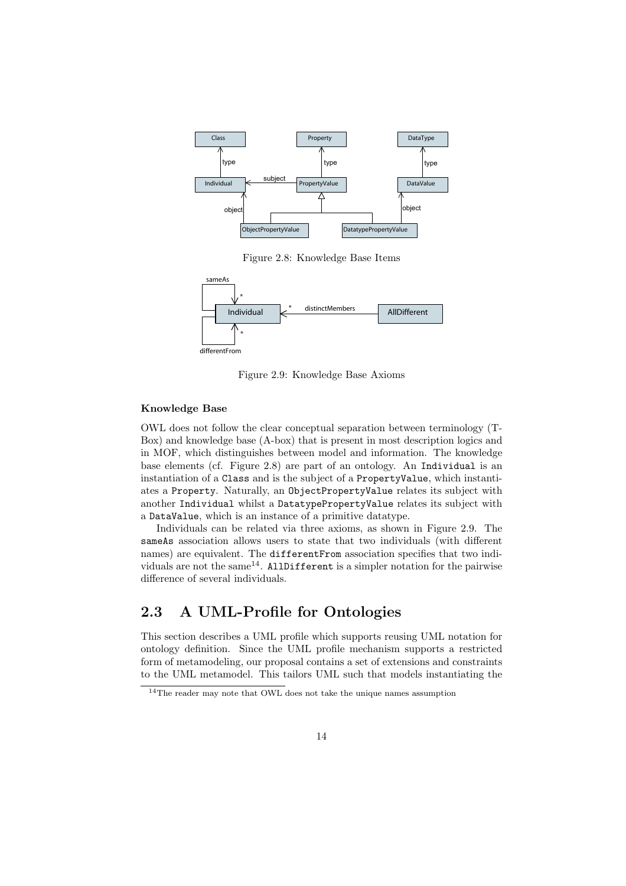![](_page_15_Figure_0.jpeg)

Figure 2.8: Knowledge Base Items

![](_page_15_Figure_2.jpeg)

Figure 2.9: Knowledge Base Axioms

### Knowledge Base

OWL does not follow the clear conceptual separation between terminology (T-Box) and knowledge base (A-box) that is present in most description logics and in MOF, which distinguishes between model and information. The knowledge base elements (cf. Figure 2.8) are part of an ontology. An Individual is an instantiation of a Class and is the subject of a PropertyValue, which instantiates a Property. Naturally, an ObjectPropertyValue relates its subject with another Individual whilst a DatatypePropertyValue relates its subject with a DataValue, which is an instance of a primitive datatype.

Individuals can be related via three axioms, as shown in Figure 2.9. The sameAs association allows users to state that two individuals (with different names) are equivalent. The differentFrom association specifies that two individuals are not the same<sup>14</sup>. AllDifferent is a simpler notation for the pairwise difference of several individuals.

## 2.3 A UML-Profile for Ontologies

This section describes a UML profile which supports reusing UML notation for ontology definition. Since the UML profile mechanism supports a restricted form of metamodeling, our proposal contains a set of extensions and constraints to the UML metamodel. This tailors UML such that models instantiating the

<sup>&</sup>lt;sup>14</sup>The reader may note that OWL does not take the unique names assumption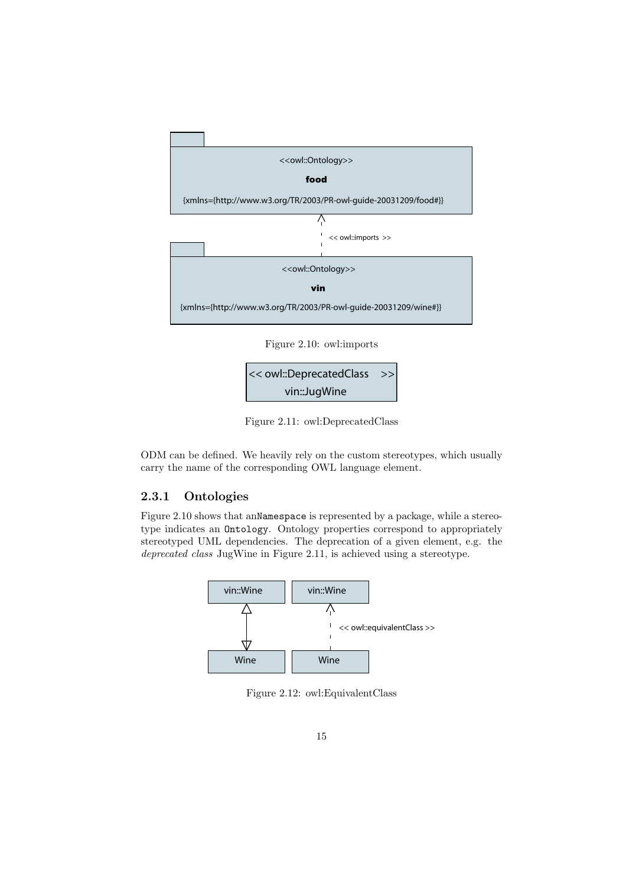![](_page_16_Figure_0.jpeg)

Figure 2.10: owl:imports

![](_page_16_Figure_2.jpeg)

Figure 2.11: owl:DeprecatedClass

ODM can be defined. We heavily rely on the custom stereotypes, which usually carry the name of the corresponding OWL language element.

### 2.3.1 Ontologies

Figure 2.10 shows that anNamespace is represented by a package, while a stereotype indicates an Ontology. Ontology properties correspond to appropriately stereotyped UML dependencies. The deprecation of a given element, e.g. the deprecated class JugWine in Figure 2.11, is achieved using a stereotype.

![](_page_16_Figure_7.jpeg)

Figure 2.12: owl:EquivalentClass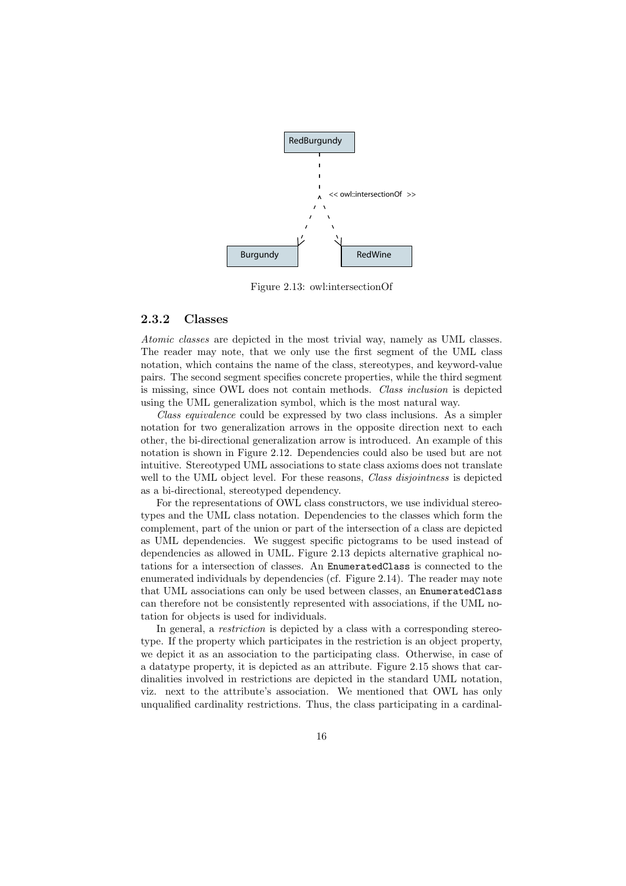![](_page_17_Figure_0.jpeg)

Figure 2.13: owl:intersectionOf

### 2.3.2 Classes

Atomic classes are depicted in the most trivial way, namely as UML classes. The reader may note, that we only use the first segment of the UML class notation, which contains the name of the class, stereotypes, and keyword-value pairs. The second segment specifies concrete properties, while the third segment is missing, since OWL does not contain methods. Class inclusion is depicted using the UML generalization symbol, which is the most natural way.

Class equivalence could be expressed by two class inclusions. As a simpler notation for two generalization arrows in the opposite direction next to each other, the bi-directional generalization arrow is introduced. An example of this notation is shown in Figure 2.12. Dependencies could also be used but are not intuitive. Stereotyped UML associations to state class axioms does not translate well to the UML object level. For these reasons, *Class disjointness* is depicted as a bi-directional, stereotyped dependency.

For the representations of OWL class constructors, we use individual stereotypes and the UML class notation. Dependencies to the classes which form the complement, part of the union or part of the intersection of a class are depicted as UML dependencies. We suggest specific pictograms to be used instead of dependencies as allowed in UML. Figure 2.13 depicts alternative graphical notations for a intersection of classes. An EnumeratedClass is connected to the enumerated individuals by dependencies (cf. Figure 2.14). The reader may note that UML associations can only be used between classes, an EnumeratedClass can therefore not be consistently represented with associations, if the UML notation for objects is used for individuals.

In general, a *restriction* is depicted by a class with a corresponding stereotype. If the property which participates in the restriction is an object property, we depict it as an association to the participating class. Otherwise, in case of a datatype property, it is depicted as an attribute. Figure 2.15 shows that cardinalities involved in restrictions are depicted in the standard UML notation, viz. next to the attribute's association. We mentioned that OWL has only unqualified cardinality restrictions. Thus, the class participating in a cardinal-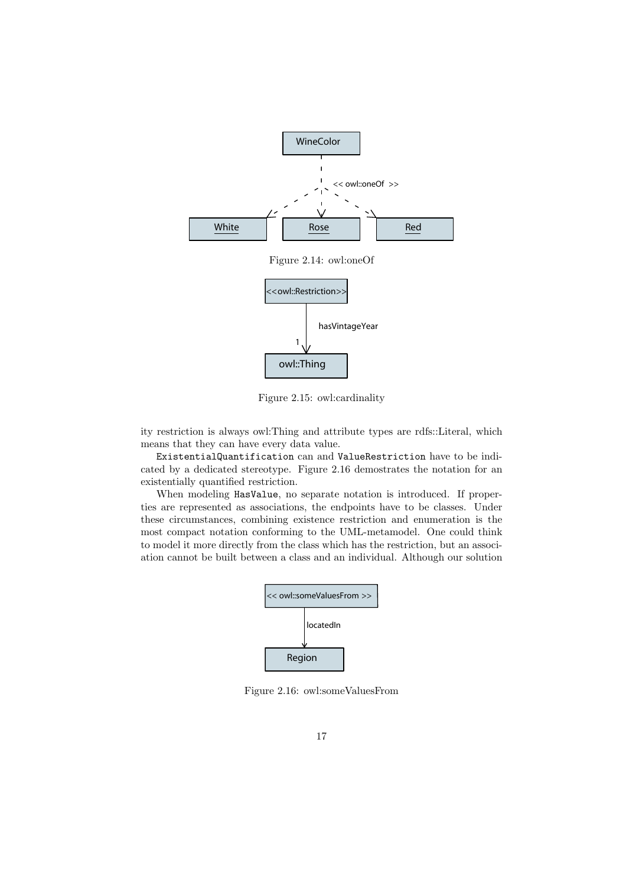![](_page_18_Figure_0.jpeg)

Figure 2.14: owl:oneOf

![](_page_18_Figure_2.jpeg)

Figure 2.15: owl:cardinality

ity restriction is always owl:Thing and attribute types are rdfs::Literal, which means that they can have every data value.

ExistentialQuantification can and ValueRestriction have to be indicated by a dedicated stereotype. Figure 2.16 demostrates the notation for an existentially quantified restriction.

When modeling HasValue, no separate notation is introduced. If properties are represented as associations, the endpoints have to be classes. Under these circumstances, combining existence restriction and enumeration is the most compact notation conforming to the UML-metamodel. One could think to model it more directly from the class which has the restriction, but an association cannot be built between a class and an individual. Although our solution

![](_page_18_Figure_7.jpeg)

Figure 2.16: owl:someValuesFrom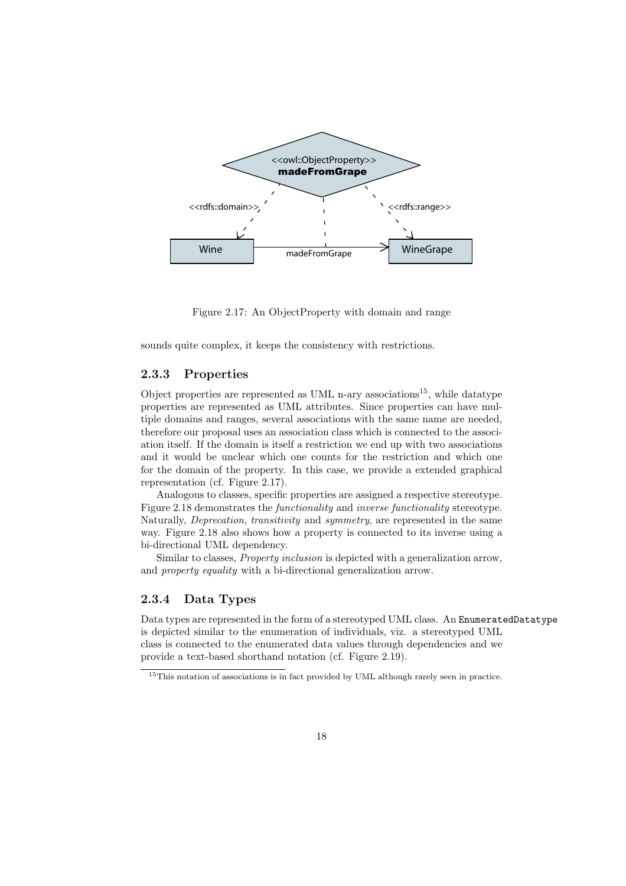![](_page_19_Figure_0.jpeg)

Figure 2.17: An ObjectProperty with domain and range

sounds quite complex, it keeps the consistency with restrictions.

### 2.3.3 Properties

Object properties are represented as UML n-ary associations<sup>15</sup>, while datatype properties are represented as UML attributes. Since properties can have multiple domains and ranges, several associations with the same name are needed, therefore our proposal uses an association class which is connected to the association itself. If the domain is itself a restriction we end up with two associations and it would be unclear which one counts for the restriction and which one for the domain of the property. In this case, we provide a extended graphical representation (cf. Figure 2.17).

Analogous to classes, specific properties are assigned a respective stereotype. Figure 2.18 demonstrates the functionality and inverse functionality stereotype. Naturally, Deprecation, transitivity and symmetry, are represented in the same way. Figure 2.18 also shows how a property is connected to its inverse using a bi-directional UML dependency.

Similar to classes, Property inclusion is depicted with a generalization arrow, and property equality with a bi-directional generalization arrow.

### 2.3.4 Data Types

Data types are represented in the form of a stereotyped UML class. An EnumeratedDatatype is depicted similar to the enumeration of individuals, viz. a stereotyped UML class is connected to the enumerated data values through dependencies and we provide a text-based shorthand notation (cf. Figure 2.19).

<sup>&</sup>lt;sup>15</sup>This notation of associations is in fact provided by UML although rarely seen in practice.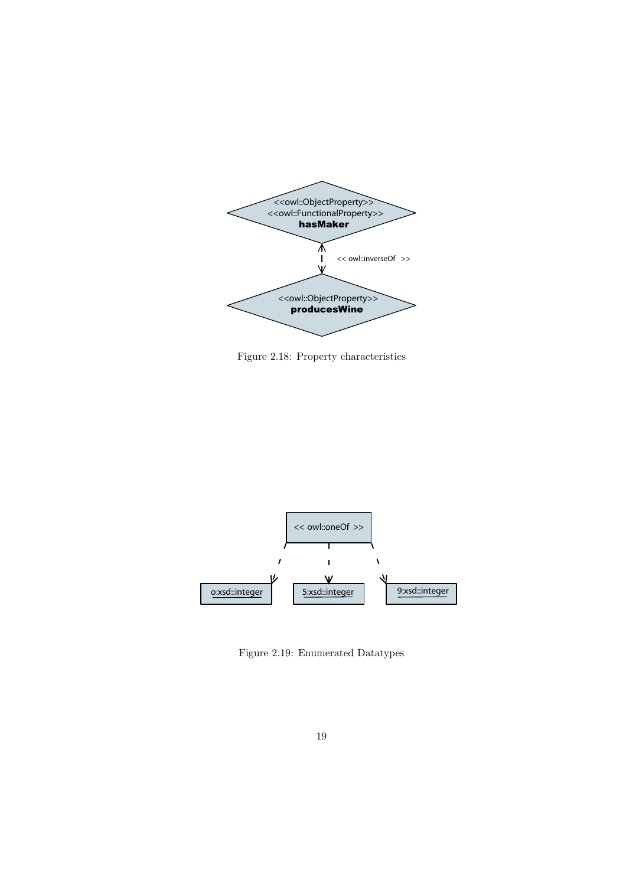![](_page_20_Figure_0.jpeg)

Figure 2.18: Property characteristics

![](_page_20_Figure_2.jpeg)

Figure 2.19: Enumerated Datatypes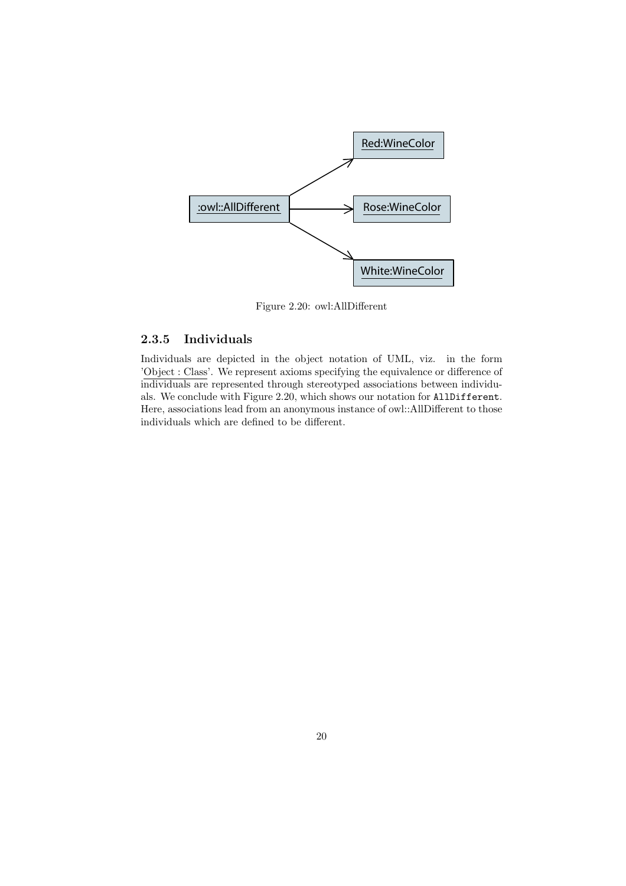![](_page_21_Figure_0.jpeg)

Figure 2.20: owl:AllDifferent

### 2.3.5 Individuals

Individuals are depicted in the object notation of UML, viz. in the form 'Object : Class'. We represent axioms specifying the equivalence or difference of individuals are represented through stereotyped associations between individuals. We conclude with Figure 2.20, which shows our notation for AllDifferent. Here, associations lead from an anonymous instance of owl::AllDifferent to those individuals which are defined to be different.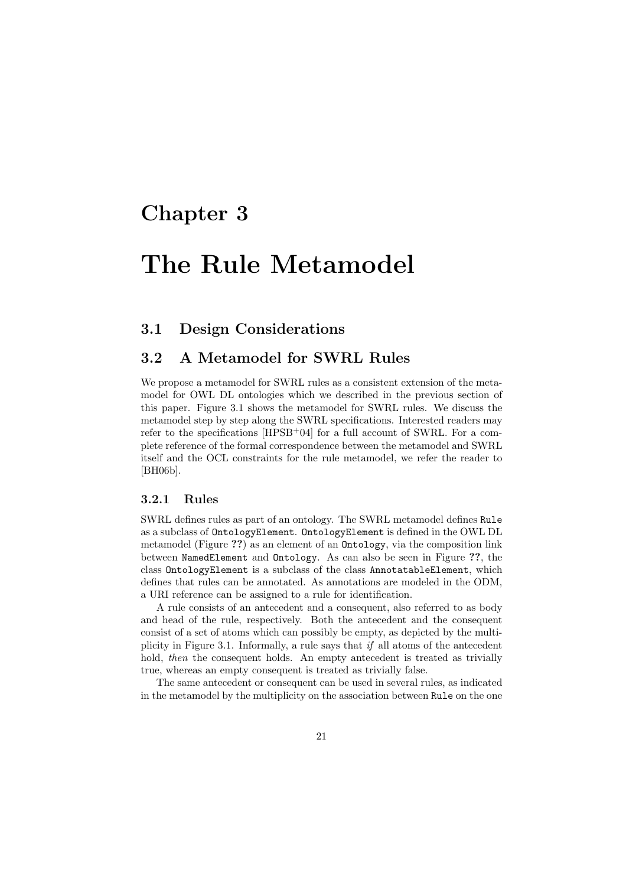# Chapter 3

# The Rule Metamodel

## 3.1 Design Considerations

### 3.2 A Metamodel for SWRL Rules

We propose a metamodel for SWRL rules as a consistent extension of the metamodel for OWL DL ontologies which we described in the previous section of this paper. Figure 3.1 shows the metamodel for SWRL rules. We discuss the metamodel step by step along the SWRL specifications. Interested readers may refer to the specifications [HPSB+04] for a full account of SWRL. For a complete reference of the formal correspondence between the metamodel and SWRL itself and the OCL constraints for the rule metamodel, we refer the reader to [BH06b].

### 3.2.1 Rules

SWRL defines rules as part of an ontology. The SWRL metamodel defines Rule as a subclass of OntologyElement. OntologyElement is defined in the OWL DL metamodel (Figure ??) as an element of an Ontology, via the composition link between NamedElement and Ontology. As can also be seen in Figure ??, the class OntologyElement is a subclass of the class AnnotatableElement, which defines that rules can be annotated. As annotations are modeled in the ODM, a URI reference can be assigned to a rule for identification.

A rule consists of an antecedent and a consequent, also referred to as body and head of the rule, respectively. Both the antecedent and the consequent consist of a set of atoms which can possibly be empty, as depicted by the multiplicity in Figure 3.1. Informally, a rule says that if all atoms of the antecedent hold, then the consequent holds. An empty antecedent is treated as trivially true, whereas an empty consequent is treated as trivially false.

The same antecedent or consequent can be used in several rules, as indicated in the metamodel by the multiplicity on the association between Rule on the one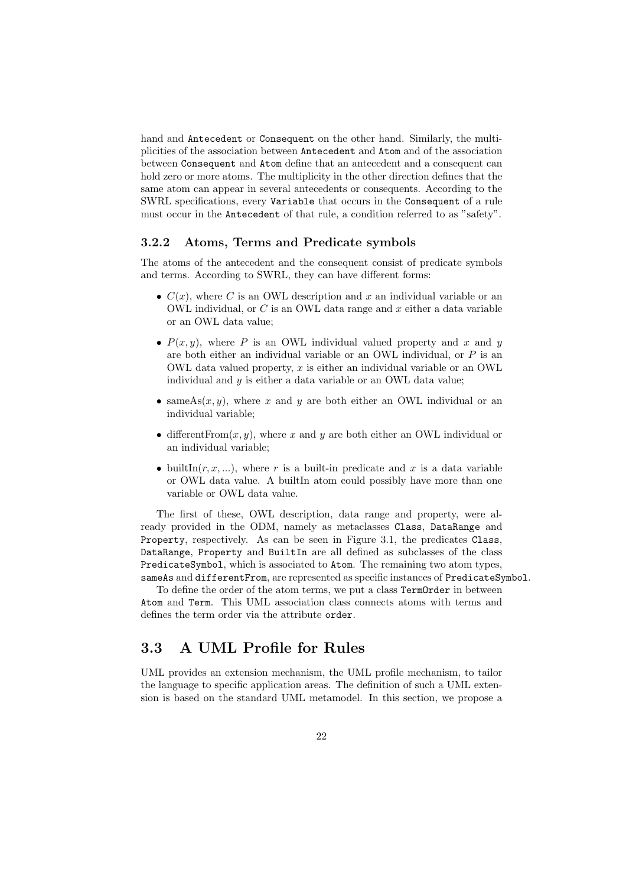hand and Antecedent or Consequent on the other hand. Similarly, the multiplicities of the association between Antecedent and Atom and of the association between Consequent and Atom define that an antecedent and a consequent can hold zero or more atoms. The multiplicity in the other direction defines that the same atom can appear in several antecedents or consequents. According to the SWRL specifications, every Variable that occurs in the Consequent of a rule must occur in the Antecedent of that rule, a condition referred to as "safety".

### 3.2.2 Atoms, Terms and Predicate symbols

The atoms of the antecedent and the consequent consist of predicate symbols and terms. According to SWRL, they can have different forms:

- $C(x)$ , where C is an OWL description and x an individual variable or an OWL individual, or  $C$  is an OWL data range and  $x$  either a data variable or an OWL data value;
- $P(x, y)$ , where P is an OWL individual valued property and x and y are both either an individual variable or an OWL individual, or  $P$  is an OWL data valued property,  $x$  is either an individual variable or an OWL individual and  $y$  is either a data variable or an OWL data value;
- sameAs $(x, y)$ , where x and y are both either an OWL individual or an individual variable;
- different  $From(x, y)$ , where x and y are both either an OWL individual or an individual variable;
- built $\text{In}(r, x, \ldots)$ , where r is a built-in predicate and x is a data variable or OWL data value. A builtIn atom could possibly have more than one variable or OWL data value.

The first of these, OWL description, data range and property, were already provided in the ODM, namely as metaclasses Class, DataRange and Property, respectively. As can be seen in Figure 3.1, the predicates Class, DataRange, Property and BuiltIn are all defined as subclasses of the class PredicateSymbol, which is associated to Atom. The remaining two atom types, sameAs and differentFrom, are represented as specific instances of PredicateSymbol.

To define the order of the atom terms, we put a class TermOrder in between Atom and Term. This UML association class connects atoms with terms and defines the term order via the attribute order.

## 3.3 A UML Profile for Rules

UML provides an extension mechanism, the UML profile mechanism, to tailor the language to specific application areas. The definition of such a UML extension is based on the standard UML metamodel. In this section, we propose a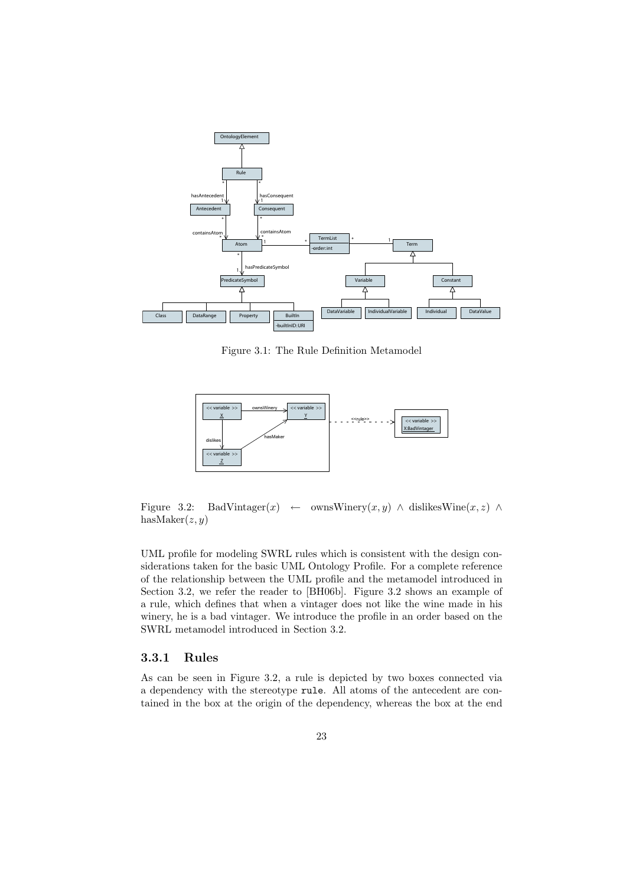![](_page_24_Figure_0.jpeg)

Figure 3.1: The Rule Definition Metamodel

![](_page_24_Figure_2.jpeg)

Figure 3.2: BadVintager(x) ← ownsWinery(x, y) ∧ dislikesWine $(x, z)$  ∧ hasMaker $(z, y)$ 

UML profile for modeling SWRL rules which is consistent with the design considerations taken for the basic UML Ontology Profile. For a complete reference of the relationship between the UML profile and the metamodel introduced in Section 3.2, we refer the reader to [BH06b]. Figure 3.2 shows an example of a rule, which defines that when a vintager does not like the wine made in his winery, he is a bad vintager. We introduce the profile in an order based on the SWRL metamodel introduced in Section 3.2.

### 3.3.1 Rules

As can be seen in Figure 3.2, a rule is depicted by two boxes connected via a dependency with the stereotype rule. All atoms of the antecedent are contained in the box at the origin of the dependency, whereas the box at the end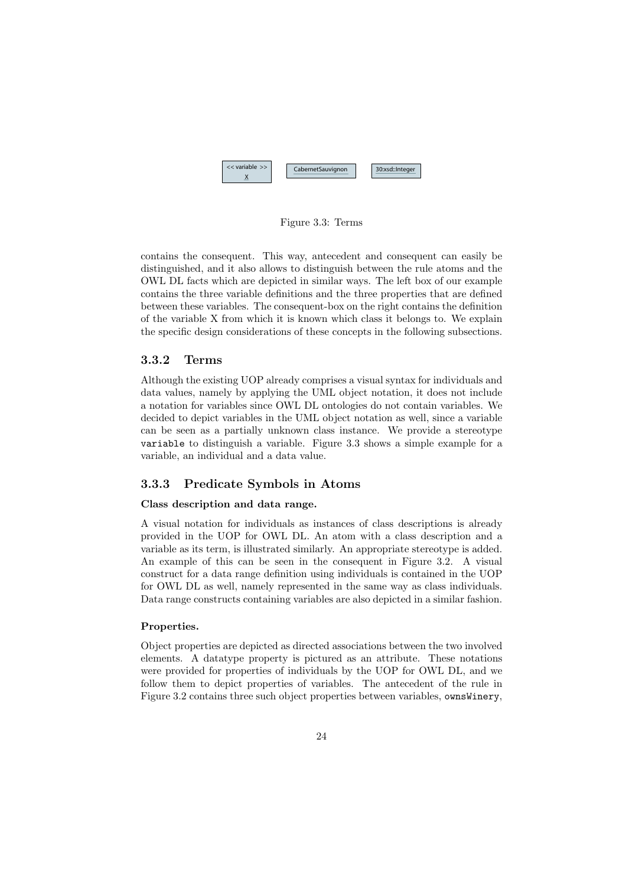![](_page_25_Figure_0.jpeg)

Figure 3.3: Terms

contains the consequent. This way, antecedent and consequent can easily be distinguished, and it also allows to distinguish between the rule atoms and the OWL DL facts which are depicted in similar ways. The left box of our example contains the three variable definitions and the three properties that are defined between these variables. The consequent-box on the right contains the definition of the variable X from which it is known which class it belongs to. We explain the specific design considerations of these concepts in the following subsections.

### 3.3.2 Terms

Although the existing UOP already comprises a visual syntax for individuals and data values, namely by applying the UML object notation, it does not include a notation for variables since OWL DL ontologies do not contain variables. We decided to depict variables in the UML object notation as well, since a variable can be seen as a partially unknown class instance. We provide a stereotype variable to distinguish a variable. Figure 3.3 shows a simple example for a variable, an individual and a data value.

### 3.3.3 Predicate Symbols in Atoms

### Class description and data range.

A visual notation for individuals as instances of class descriptions is already provided in the UOP for OWL DL. An atom with a class description and a variable as its term, is illustrated similarly. An appropriate stereotype is added. An example of this can be seen in the consequent in Figure 3.2. A visual construct for a data range definition using individuals is contained in the UOP for OWL DL as well, namely represented in the same way as class individuals. Data range constructs containing variables are also depicted in a similar fashion.

### Properties.

Object properties are depicted as directed associations between the two involved elements. A datatype property is pictured as an attribute. These notations were provided for properties of individuals by the UOP for OWL DL, and we follow them to depict properties of variables. The antecedent of the rule in Figure 3.2 contains three such object properties between variables, ownsWinery,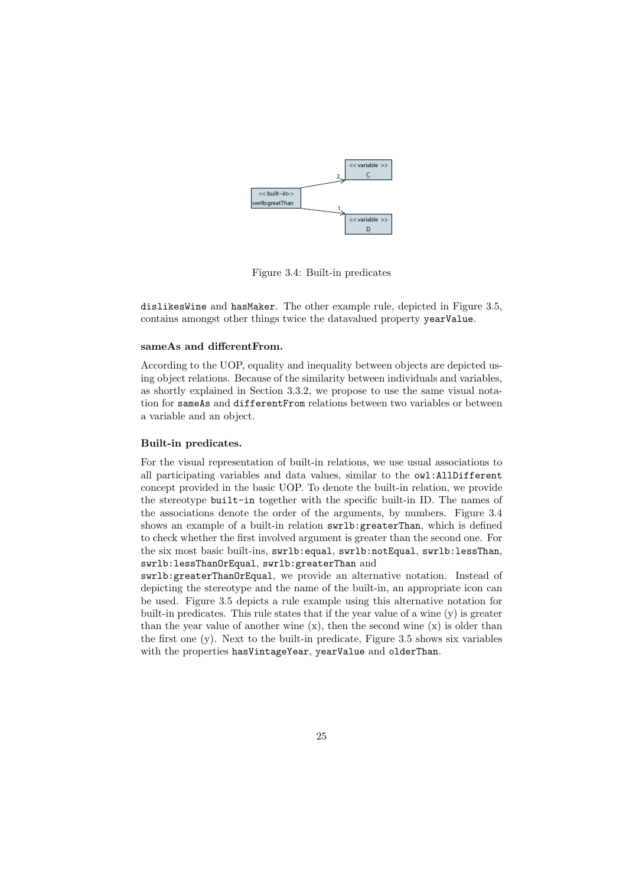![](_page_26_Figure_0.jpeg)

Figure 3.4: Built-in predicates

dislikesWine and hasMaker. The other example rule, depicted in Figure 3.5, contains amongst other things twice the datavalued property yearValue.

#### sameAs and differentFrom.

According to the UOP, equality and inequality between objects are depicted using object relations. Because of the similarity between individuals and variables, as shortly explained in Section 3.3.2, we propose to use the same visual notation for sameAs and differentFrom relations between two variables or between a variable and an object.

### Built-in predicates.

For the visual representation of built-in relations, we use usual associations to all participating variables and data values, similar to the owl:AllDifferent concept provided in the basic UOP. To denote the built-in relation, we provide the stereotype built-in together with the specific built-in ID. The names of the associations denote the order of the arguments, by numbers. Figure 3.4 shows an example of a built-in relation swrlb:greaterThan, which is defined to check whether the first involved argument is greater than the second one. For the six most basic built-ins, swrlb:equal, swrlb:notEqual, swrlb:lessThan, swrlb:lessThanOrEqual, swrlb:greaterThan and

swrlb:greaterThanOrEqual, we provide an alternative notation. Instead of depicting the stereotype and the name of the built-in, an appropriate icon can be used. Figure 3.5 depicts a rule example using this alternative notation for built-in predicates. This rule states that if the year value of a wine (y) is greater than the year value of another wine  $(x)$ , then the second wine  $(x)$  is older than the first one (y). Next to the built-in predicate, Figure 3.5 shows six variables with the properties hasVintageYear, yearValue and olderThan.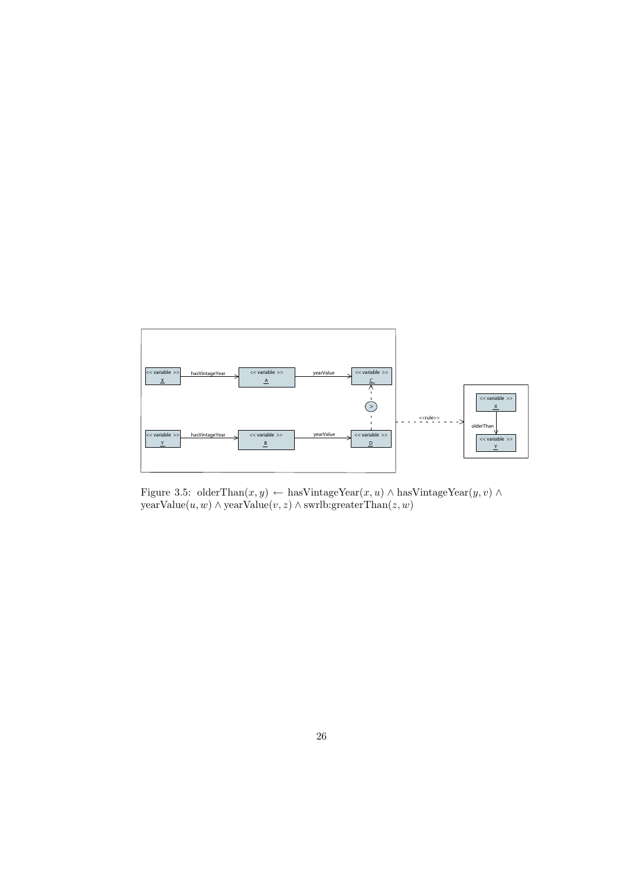![](_page_27_Figure_0.jpeg)

Figure 3.5: olderThan $(x, y)$  ← hasVintageYear $(x, u)$  ∧ hasVintageYear $(y, v)$  ∧ yearValue $(u, w)$  ∧ yearValue $(v, z)$  ∧ swrlb:greaterThan $(z, w)$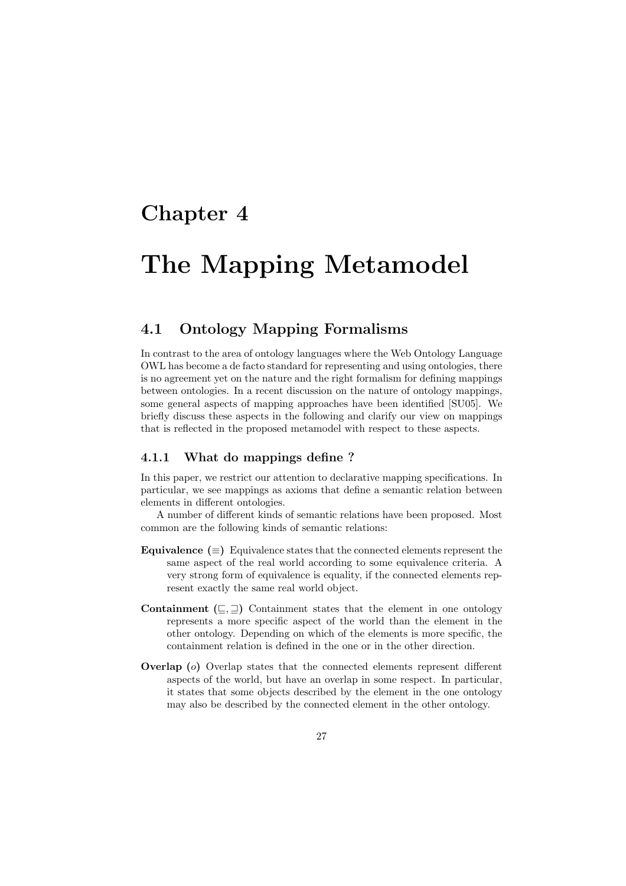# Chapter 4

# The Mapping Metamodel

# 4.1 Ontology Mapping Formalisms

In contrast to the area of ontology languages where the Web Ontology Language OWL has become a de facto standard for representing and using ontologies, there is no agreement yet on the nature and the right formalism for defining mappings between ontologies. In a recent discussion on the nature of ontology mappings, some general aspects of mapping approaches have been identified [SU05]. We briefly discuss these aspects in the following and clarify our view on mappings that is reflected in the proposed metamodel with respect to these aspects.

### 4.1.1 What do mappings define ?

In this paper, we restrict our attention to declarative mapping specifications. In particular, we see mappings as axioms that define a semantic relation between elements in different ontologies.

A number of different kinds of semantic relations have been proposed. Most common are the following kinds of semantic relations:

- **Equivalence**  $(\equiv)$  Equivalence states that the connected elements represent the same aspect of the real world according to some equivalence criteria. A very strong form of equivalence is equality, if the connected elements represent exactly the same real world object.
- **Containment**  $(\subseteq, \sqsupseteq)$  Containment states that the element in one ontology represents a more specific aspect of the world than the element in the other ontology. Depending on which of the elements is more specific, the containment relation is defined in the one or in the other direction.
- Overlap (o) Overlap states that the connected elements represent different aspects of the world, but have an overlap in some respect. In particular, it states that some objects described by the element in the one ontology may also be described by the connected element in the other ontology.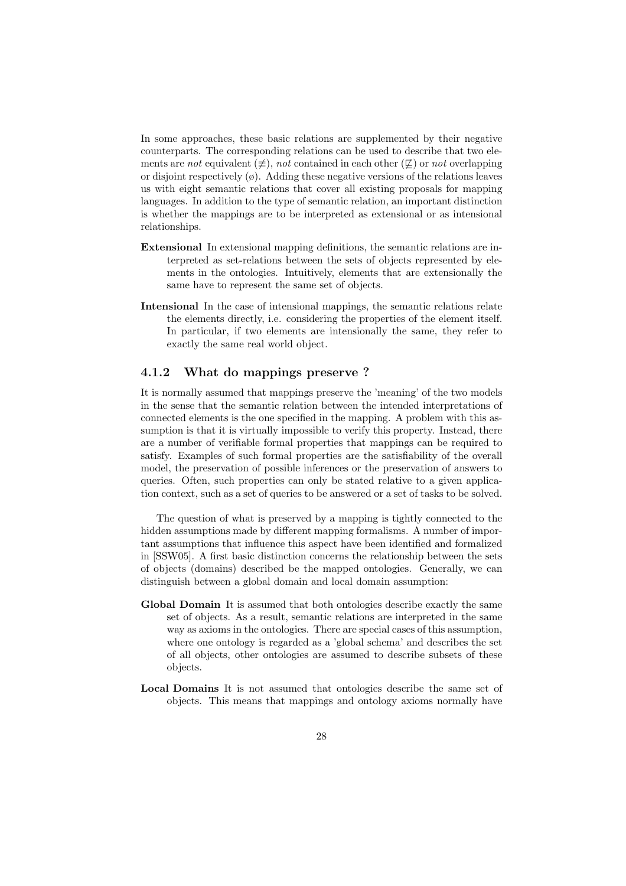In some approaches, these basic relations are supplemented by their negative counterparts. The corresponding relations can be used to describe that two elements are not equivalent ( $\neq$ ), not contained in each other ( $\not\sqsubseteq$ ) or not overlapping or disjoint respectively  $(\emptyset)$ . Adding these negative versions of the relations leaves us with eight semantic relations that cover all existing proposals for mapping languages. In addition to the type of semantic relation, an important distinction is whether the mappings are to be interpreted as extensional or as intensional relationships.

- Extensional In extensional mapping definitions, the semantic relations are interpreted as set-relations between the sets of objects represented by elements in the ontologies. Intuitively, elements that are extensionally the same have to represent the same set of objects.
- Intensional In the case of intensional mappings, the semantic relations relate the elements directly, i.e. considering the properties of the element itself. In particular, if two elements are intensionally the same, they refer to exactly the same real world object.

### 4.1.2 What do mappings preserve ?

It is normally assumed that mappings preserve the 'meaning' of the two models in the sense that the semantic relation between the intended interpretations of connected elements is the one specified in the mapping. A problem with this assumption is that it is virtually impossible to verify this property. Instead, there are a number of verifiable formal properties that mappings can be required to satisfy. Examples of such formal properties are the satisfiability of the overall model, the preservation of possible inferences or the preservation of answers to queries. Often, such properties can only be stated relative to a given application context, such as a set of queries to be answered or a set of tasks to be solved.

The question of what is preserved by a mapping is tightly connected to the hidden assumptions made by different mapping formalisms. A number of important assumptions that influence this aspect have been identified and formalized in [SSW05]. A first basic distinction concerns the relationship between the sets of objects (domains) described be the mapped ontologies. Generally, we can distinguish between a global domain and local domain assumption:

- Global Domain It is assumed that both ontologies describe exactly the same set of objects. As a result, semantic relations are interpreted in the same way as axioms in the ontologies. There are special cases of this assumption, where one ontology is regarded as a 'global schema' and describes the set of all objects, other ontologies are assumed to describe subsets of these objects.
- Local Domains It is not assumed that ontologies describe the same set of objects. This means that mappings and ontology axioms normally have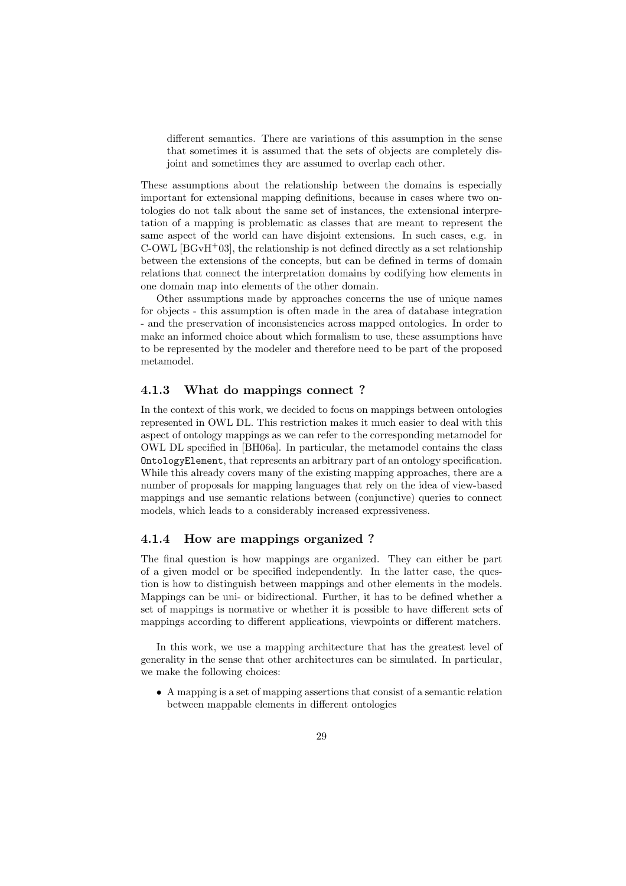different semantics. There are variations of this assumption in the sense that sometimes it is assumed that the sets of objects are completely disjoint and sometimes they are assumed to overlap each other.

These assumptions about the relationship between the domains is especially important for extensional mapping definitions, because in cases where two ontologies do not talk about the same set of instances, the extensional interpretation of a mapping is problematic as classes that are meant to represent the same aspect of the world can have disjoint extensions. In such cases, e.g. in C-OWL  $[\text{BGvH}^+03]$ , the relationship is not defined directly as a set relationship between the extensions of the concepts, but can be defined in terms of domain relations that connect the interpretation domains by codifying how elements in one domain map into elements of the other domain.

Other assumptions made by approaches concerns the use of unique names for objects - this assumption is often made in the area of database integration - and the preservation of inconsistencies across mapped ontologies. In order to make an informed choice about which formalism to use, these assumptions have to be represented by the modeler and therefore need to be part of the proposed metamodel.

### 4.1.3 What do mappings connect ?

In the context of this work, we decided to focus on mappings between ontologies represented in OWL DL. This restriction makes it much easier to deal with this aspect of ontology mappings as we can refer to the corresponding metamodel for OWL DL specified in [BH06a]. In particular, the metamodel contains the class OntologyElement, that represents an arbitrary part of an ontology specification. While this already covers many of the existing mapping approaches, there are a number of proposals for mapping languages that rely on the idea of view-based mappings and use semantic relations between (conjunctive) queries to connect models, which leads to a considerably increased expressiveness.

### 4.1.4 How are mappings organized ?

The final question is how mappings are organized. They can either be part of a given model or be specified independently. In the latter case, the question is how to distinguish between mappings and other elements in the models. Mappings can be uni- or bidirectional. Further, it has to be defined whether a set of mappings is normative or whether it is possible to have different sets of mappings according to different applications, viewpoints or different matchers.

In this work, we use a mapping architecture that has the greatest level of generality in the sense that other architectures can be simulated. In particular, we make the following choices:

• A mapping is a set of mapping assertions that consist of a semantic relation between mappable elements in different ontologies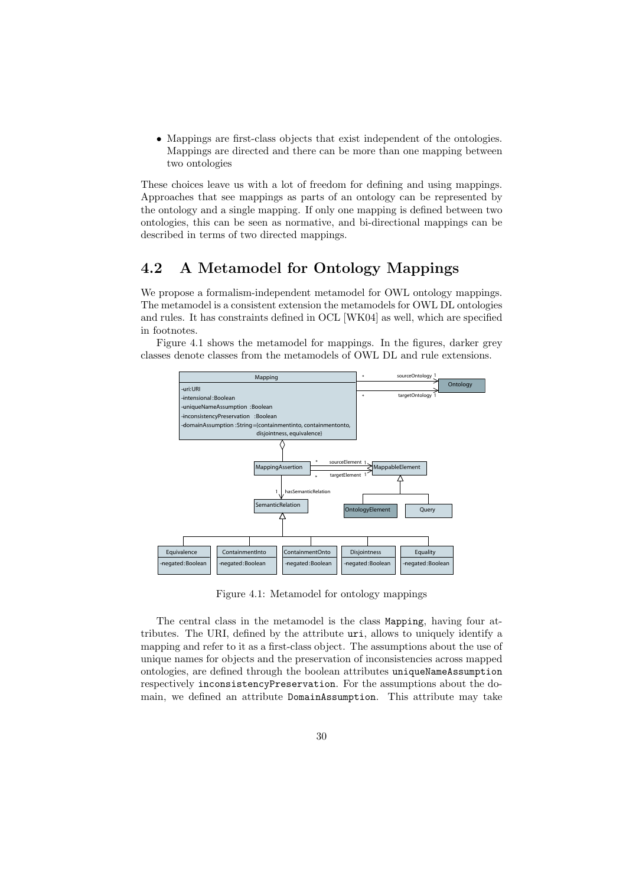• Mappings are first-class objects that exist independent of the ontologies. Mappings are directed and there can be more than one mapping between two ontologies

These choices leave us with a lot of freedom for defining and using mappings. Approaches that see mappings as parts of an ontology can be represented by the ontology and a single mapping. If only one mapping is defined between two ontologies, this can be seen as normative, and bi-directional mappings can be described in terms of two directed mappings.

## 4.2 A Metamodel for Ontology Mappings

We propose a formalism-independent metamodel for OWL ontology mappings. The metamodel is a consistent extension the metamodels for OWL DL ontologies and rules. It has constraints defined in OCL [WK04] as well, which are specified in footnotes.

Figure 4.1 shows the metamodel for mappings. In the figures, darker grey classes denote classes from the metamodels of OWL DL and rule extensions.

![](_page_31_Figure_5.jpeg)

Figure 4.1: Metamodel for ontology mappings

The central class in the metamodel is the class Mapping, having four attributes. The URI, defined by the attribute uri, allows to uniquely identify a mapping and refer to it as a first-class object. The assumptions about the use of unique names for objects and the preservation of inconsistencies across mapped ontologies, are defined through the boolean attributes uniqueNameAssumption respectively inconsistencyPreservation. For the assumptions about the domain, we defined an attribute DomainAssumption. This attribute may take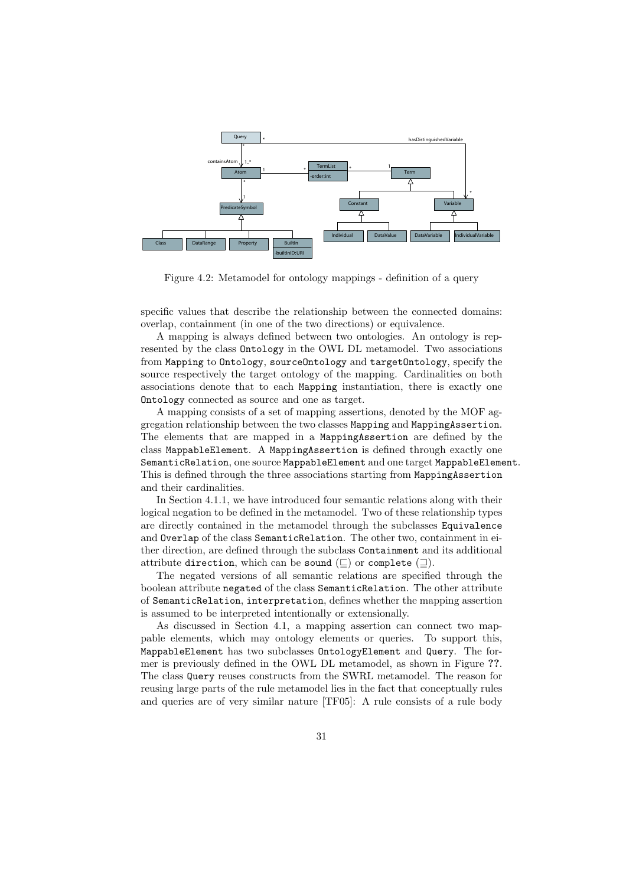![](_page_32_Figure_0.jpeg)

Figure 4.2: Metamodel for ontology mappings - definition of a query

specific values that describe the relationship between the connected domains: overlap, containment (in one of the two directions) or equivalence.

A mapping is always defined between two ontologies. An ontology is represented by the class Ontology in the OWL DL metamodel. Two associations from Mapping to Ontology, sourceOntology and targetOntology, specify the source respectively the target ontology of the mapping. Cardinalities on both associations denote that to each Mapping instantiation, there is exactly one Ontology connected as source and one as target.

A mapping consists of a set of mapping assertions, denoted by the MOF aggregation relationship between the two classes Mapping and MappingAssertion. The elements that are mapped in a MappingAssertion are defined by the class MappableElement. A MappingAssertion is defined through exactly one SemanticRelation, one source MappableElement and one target MappableElement. This is defined through the three associations starting from MappingAssertion and their cardinalities.

In Section 4.1.1, we have introduced four semantic relations along with their logical negation to be defined in the metamodel. Two of these relationship types are directly contained in the metamodel through the subclasses Equivalence and Overlap of the class SemanticRelation. The other two, containment in either direction, are defined through the subclass Containment and its additional attribute direction, which can be sound  $(\sqsubseteq)$  or complete  $(\sqsupseteq)$ .

The negated versions of all semantic relations are specified through the boolean attribute negated of the class SemanticRelation. The other attribute of SemanticRelation, interpretation, defines whether the mapping assertion is assumed to be interpreted intentionally or extensionally.

As discussed in Section 4.1, a mapping assertion can connect two mappable elements, which may ontology elements or queries. To support this, MappableElement has two subclasses OntologyElement and Query. The former is previously defined in the OWL DL metamodel, as shown in Figure ??. The class Query reuses constructs from the SWRL metamodel. The reason for reusing large parts of the rule metamodel lies in the fact that conceptually rules and queries are of very similar nature [TF05]: A rule consists of a rule body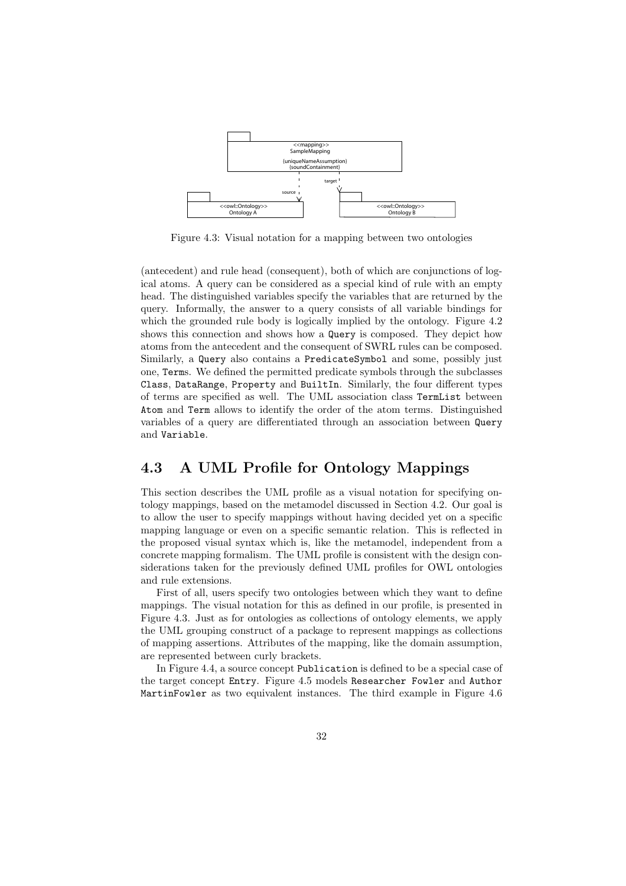![](_page_33_Figure_0.jpeg)

Figure 4.3: Visual notation for a mapping between two ontologies

(antecedent) and rule head (consequent), both of which are conjunctions of logical atoms. A query can be considered as a special kind of rule with an empty head. The distinguished variables specify the variables that are returned by the query. Informally, the answer to a query consists of all variable bindings for which the grounded rule body is logically implied by the ontology. Figure 4.2 shows this connection and shows how a Query is composed. They depict how atoms from the antecedent and the consequent of SWRL rules can be composed. Similarly, a Query also contains a PredicateSymbol and some, possibly just one, Terms. We defined the permitted predicate symbols through the subclasses Class, DataRange, Property and BuiltIn. Similarly, the four different types of terms are specified as well. The UML association class TermList between Atom and Term allows to identify the order of the atom terms. Distinguished variables of a query are differentiated through an association between Query and Variable.

### 4.3 A UML Profile for Ontology Mappings

This section describes the UML profile as a visual notation for specifying ontology mappings, based on the metamodel discussed in Section 4.2. Our goal is to allow the user to specify mappings without having decided yet on a specific mapping language or even on a specific semantic relation. This is reflected in the proposed visual syntax which is, like the metamodel, independent from a concrete mapping formalism. The UML profile is consistent with the design considerations taken for the previously defined UML profiles for OWL ontologies and rule extensions.

First of all, users specify two ontologies between which they want to define mappings. The visual notation for this as defined in our profile, is presented in Figure 4.3. Just as for ontologies as collections of ontology elements, we apply the UML grouping construct of a package to represent mappings as collections of mapping assertions. Attributes of the mapping, like the domain assumption, are represented between curly brackets.

In Figure 4.4, a source concept Publication is defined to be a special case of the target concept Entry. Figure 4.5 models Researcher Fowler and Author MartinFowler as two equivalent instances. The third example in Figure 4.6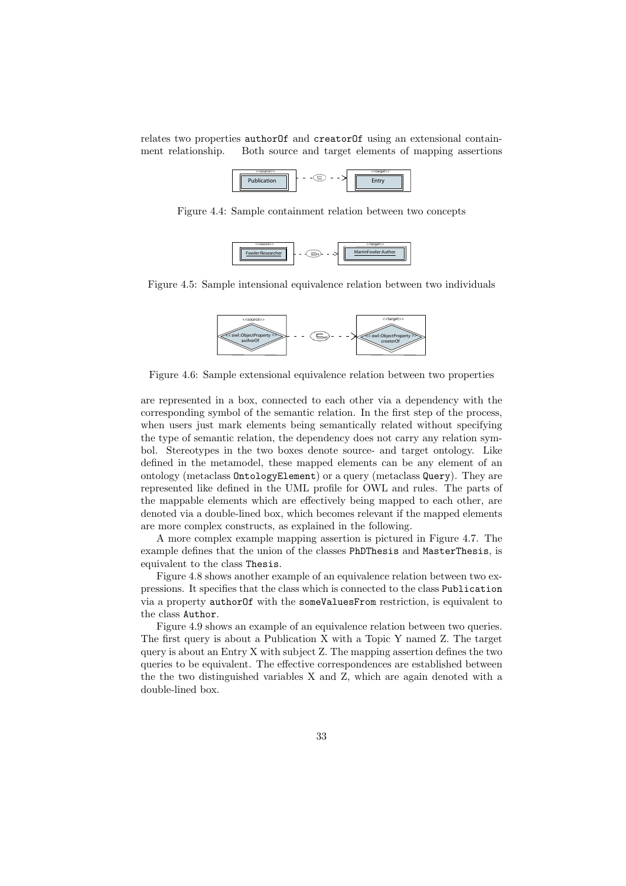relates two properties authorOf and creatorOf using an extensional containment relationship. Both source and target elements of mapping assertions

![](_page_34_Figure_1.jpeg)

Figure 4.4: Sample containment relation between two concepts

![](_page_34_Figure_3.jpeg)

Figure 4.5: Sample intensional equivalence relation between two individuals

![](_page_34_Figure_5.jpeg)

Figure 4.6: Sample extensional equivalence relation between two properties

are represented in a box, connected to each other via a dependency with the corresponding symbol of the semantic relation. In the first step of the process, when users just mark elements being semantically related without specifying the type of semantic relation, the dependency does not carry any relation symbol. Stereotypes in the two boxes denote source- and target ontology. Like defined in the metamodel, these mapped elements can be any element of an ontology (metaclass OntologyElement) or a query (metaclass Query). They are represented like defined in the UML profile for OWL and rules. The parts of the mappable elements which are effectively being mapped to each other, are denoted via a double-lined box, which becomes relevant if the mapped elements are more complex constructs, as explained in the following.

A more complex example mapping assertion is pictured in Figure 4.7. The example defines that the union of the classes PhDThesis and MasterThesis, is equivalent to the class Thesis.

Figure 4.8 shows another example of an equivalence relation between two expressions. It specifies that the class which is connected to the class Publication via a property authorOf with the someValuesFrom restriction, is equivalent to the class Author.

Figure 4.9 shows an example of an equivalence relation between two queries. The first query is about a Publication X with a Topic Y named Z. The target query is about an Entry X with subject Z. The mapping assertion defines the two queries to be equivalent. The effective correspondences are established between the the two distinguished variables X and Z, which are again denoted with a double-lined box.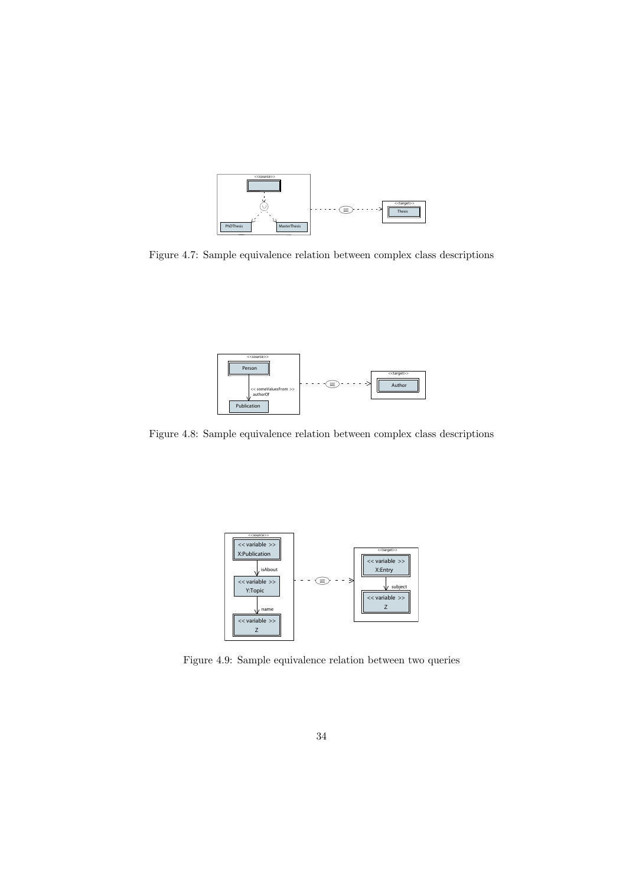![](_page_35_Figure_0.jpeg)

Figure 4.7: Sample equivalence relation between complex class descriptions

![](_page_35_Figure_2.jpeg)

Figure 4.8: Sample equivalence relation between complex class descriptions

![](_page_35_Figure_4.jpeg)

Figure 4.9: Sample equivalence relation between two queries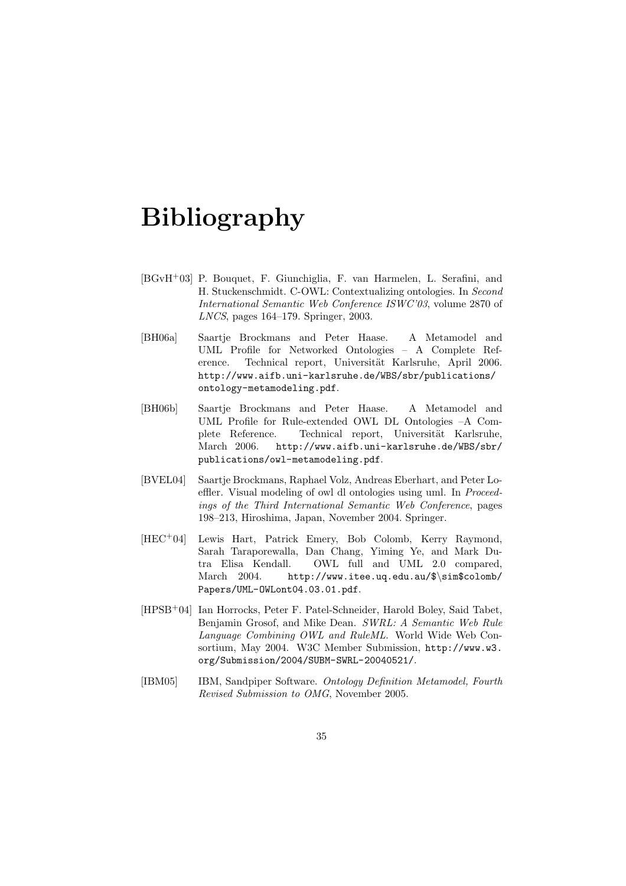# Bibliography

- [BGvH<sup>+</sup>03] P. Bouquet, F. Giunchiglia, F. van Harmelen, L. Serafini, and H. Stuckenschmidt. C-OWL: Contextualizing ontologies. In Second International Semantic Web Conference ISWC'03, volume 2870 of LNCS, pages 164–179. Springer, 2003.
- [BH06a] Saartje Brockmans and Peter Haase. A Metamodel and UML Profile for Networked Ontologies – A Complete Reference. Technical report, Universität Karlsruhe, April 2006. http://www.aifb.uni-karlsruhe.de/WBS/sbr/publications/ ontology-metamodeling.pdf.
- [BH06b] Saartje Brockmans and Peter Haase. A Metamodel and UML Profile for Rule-extended OWL DL Ontologies –A Complete Reference. Technical report, Universität Karlsruhe, March 2006. http://www.aifb.uni-karlsruhe.de/WBS/sbr/ publications/owl-metamodeling.pdf.
- [BVEL04] Saartje Brockmans, Raphael Volz, Andreas Eberhart, and Peter Loeffler. Visual modeling of owl dl ontologies using uml. In *Proceed*ings of the Third International Semantic Web Conference, pages 198–213, Hiroshima, Japan, November 2004. Springer.
- [HEC<sup>+</sup>04] Lewis Hart, Patrick Emery, Bob Colomb, Kerry Raymond, Sarah Taraporewalla, Dan Chang, Yiming Ye, and Mark Dutra Elisa Kendall. OWL full and UML 2.0 compared, March 2004. http://www.itee.uq.edu.au/\$\sim\$colomb/ Papers/UML-OWLont04.03.01.pdf.
- [HPSB<sup>+</sup>04] Ian Horrocks, Peter F. Patel-Schneider, Harold Boley, Said Tabet, Benjamin Grosof, and Mike Dean. SWRL: A Semantic Web Rule Language Combining OWL and RuleML. World Wide Web Consortium, May 2004. W3C Member Submission, http://www.w3. org/Submission/2004/SUBM-SWRL-20040521/.
- [IBM05] IBM, Sandpiper Software. Ontology Definition Metamodel, Fourth Revised Submission to OMG, November 2005.